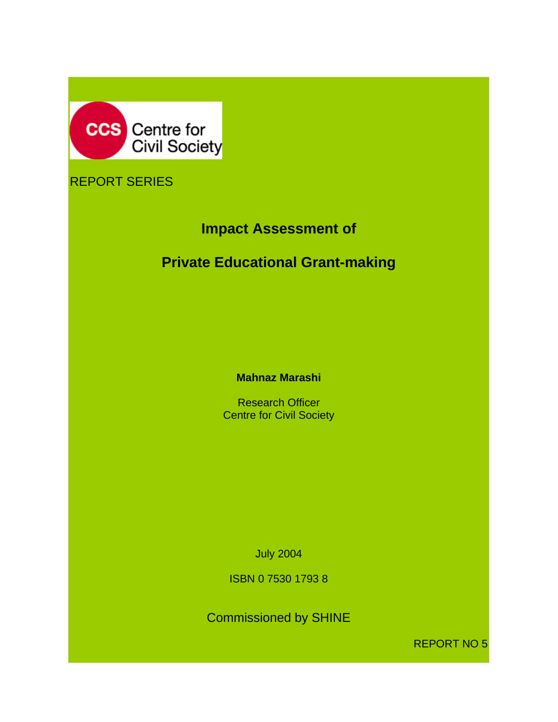

# REPORT SERIES

# **Impact Assessment of**

# **Private Educational Grant-making**

**Mahnaz Marashi** 

Research Officer **Centre for Civil Society** 

July 2004

ISBN 0 7530 1793 8

Commissioned by SHINE

REPORT NO 5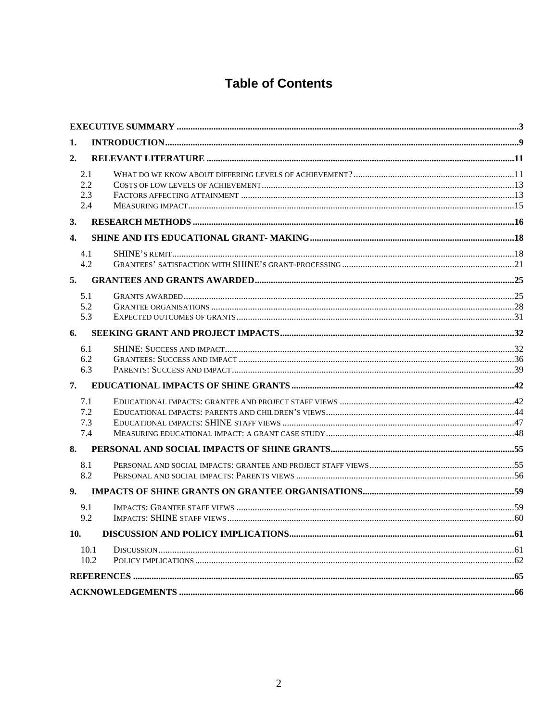# **Table of Contents**

| 1.                       |  |
|--------------------------|--|
| 2.                       |  |
| 2.1<br>2.2<br>2.3<br>2.4 |  |
| 3.                       |  |
| $\mathbf{4}$             |  |
| 4.1<br>4.2               |  |
| 5.                       |  |
| 5.1<br>5.2<br>5.3        |  |
| 6.                       |  |
| 6.1<br>6.2<br>6.3        |  |
| 7.                       |  |
| 7.1<br>7.2<br>7.3<br>7.4 |  |
| 8.                       |  |
| 8.1<br>8.2               |  |
| 9.                       |  |
| 9.1<br>9.2               |  |
| 10.                      |  |
| 10.1<br>10.2             |  |
|                          |  |
|                          |  |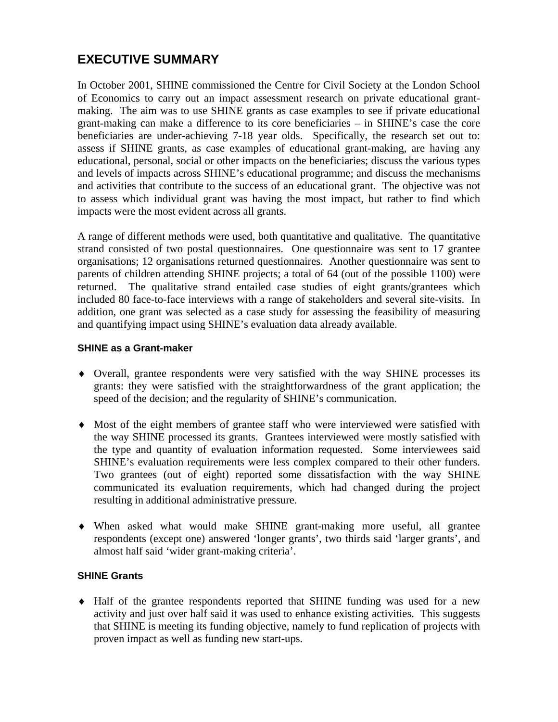# **EXECUTIVE SUMMARY**

In October 2001, SHINE commissioned the Centre for Civil Society at the London School of Economics to carry out an impact assessment research on private educational grantmaking. The aim was to use SHINE grants as case examples to see if private educational grant-making can make a difference to its core beneficiaries – in SHINE's case the core beneficiaries are under-achieving 7-18 year olds. Specifically, the research set out to: assess if SHINE grants, as case examples of educational grant-making, are having any educational, personal, social or other impacts on the beneficiaries; discuss the various types and levels of impacts across SHINE's educational programme; and discuss the mechanisms and activities that contribute to the success of an educational grant. The objective was not to assess which individual grant was having the most impact, but rather to find which impacts were the most evident across all grants.

A range of different methods were used, both quantitative and qualitative. The quantitative strand consisted of two postal questionnaires. One questionnaire was sent to 17 grantee organisations; 12 organisations returned questionnaires. Another questionnaire was sent to parents of children attending SHINE projects; a total of 64 (out of the possible 1100) were returned. The qualitative strand entailed case studies of eight grants/grantees which included 80 face-to-face interviews with a range of stakeholders and several site-visits. In addition, one grant was selected as a case study for assessing the feasibility of measuring and quantifying impact using SHINE's evaluation data already available.

#### **SHINE as a Grant-maker**

- ♦ Overall, grantee respondents were very satisfied with the way SHINE processes its grants: they were satisfied with the straightforwardness of the grant application; the speed of the decision; and the regularity of SHINE's communication.
- ♦ Most of the eight members of grantee staff who were interviewed were satisfied with the way SHINE processed its grants. Grantees interviewed were mostly satisfied with the type and quantity of evaluation information requested. Some interviewees said SHINE's evaluation requirements were less complex compared to their other funders. Two grantees (out of eight) reported some dissatisfaction with the way SHINE communicated its evaluation requirements, which had changed during the project resulting in additional administrative pressure.
- ♦ When asked what would make SHINE grant-making more useful, all grantee respondents (except one) answered 'longer grants', two thirds said 'larger grants', and almost half said 'wider grant-making criteria'.

#### **SHINE Grants**

♦ Half of the grantee respondents reported that SHINE funding was used for a new activity and just over half said it was used to enhance existing activities. This suggests that SHINE is meeting its funding objective, namely to fund replication of projects with proven impact as well as funding new start-ups.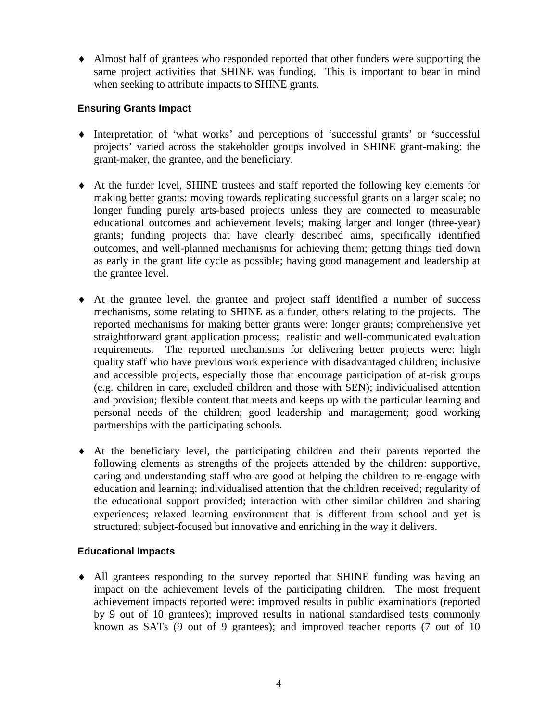♦ Almost half of grantees who responded reported that other funders were supporting the same project activities that SHINE was funding. This is important to bear in mind when seeking to attribute impacts to SHINE grants.

#### **Ensuring Grants Impact**

- ♦ Interpretation of 'what works' and perceptions of 'successful grants' or 'successful projects' varied across the stakeholder groups involved in SHINE grant-making: the grant-maker, the grantee, and the beneficiary.
- ♦ At the funder level, SHINE trustees and staff reported the following key elements for making better grants: moving towards replicating successful grants on a larger scale; no longer funding purely arts-based projects unless they are connected to measurable educational outcomes and achievement levels; making larger and longer (three-year) grants; funding projects that have clearly described aims, specifically identified outcomes, and well-planned mechanisms for achieving them; getting things tied down as early in the grant life cycle as possible; having good management and leadership at the grantee level.
- ♦ At the grantee level, the grantee and project staff identified a number of success mechanisms, some relating to SHINE as a funder, others relating to the projects. The reported mechanisms for making better grants were: longer grants; comprehensive yet straightforward grant application process; realistic and well-communicated evaluation requirements. The reported mechanisms for delivering better projects were: high quality staff who have previous work experience with disadvantaged children; inclusive and accessible projects, especially those that encourage participation of at-risk groups (e.g. children in care, excluded children and those with SEN); individualised attention and provision; flexible content that meets and keeps up with the particular learning and personal needs of the children; good leadership and management; good working partnerships with the participating schools.
- ♦ At the beneficiary level, the participating children and their parents reported the following elements as strengths of the projects attended by the children: supportive, caring and understanding staff who are good at helping the children to re-engage with education and learning; individualised attention that the children received; regularity of the educational support provided; interaction with other similar children and sharing experiences; relaxed learning environment that is different from school and yet is structured; subject-focused but innovative and enriching in the way it delivers.

#### **Educational Impacts**

♦ All grantees responding to the survey reported that SHINE funding was having an impact on the achievement levels of the participating children. The most frequent achievement impacts reported were: improved results in public examinations (reported by 9 out of 10 grantees); improved results in national standardised tests commonly known as SATs (9 out of 9 grantees); and improved teacher reports (7 out of 10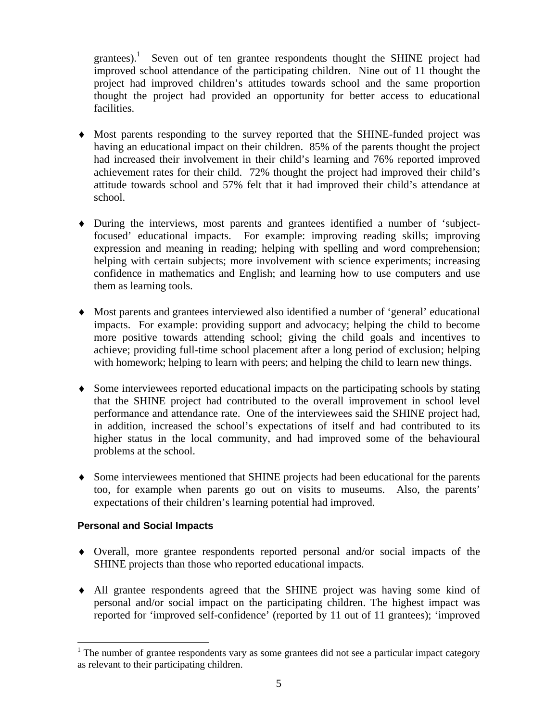grantees).<sup>1</sup> Seven out of ten grantee respondents thought the SHINE project had improved school attendance of the participating children. Nine out of 11 thought the project had improved children's attitudes towards school and the same proportion thought the project had provided an opportunity for better access to educational facilities.

- ♦ Most parents responding to the survey reported that the SHINE-funded project was having an educational impact on their children. 85% of the parents thought the project had increased their involvement in their child's learning and 76% reported improved achievement rates for their child. 72% thought the project had improved their child's attitude towards school and 57% felt that it had improved their child's attendance at school.
- ♦ During the interviews, most parents and grantees identified a number of 'subjectfocused' educational impacts. For example: improving reading skills; improving expression and meaning in reading; helping with spelling and word comprehension; helping with certain subjects; more involvement with science experiments; increasing confidence in mathematics and English; and learning how to use computers and use them as learning tools.
- ♦ Most parents and grantees interviewed also identified a number of 'general' educational impacts. For example: providing support and advocacy; helping the child to become more positive towards attending school; giving the child goals and incentives to achieve; providing full-time school placement after a long period of exclusion; helping with homework; helping to learn with peers; and helping the child to learn new things.
- ♦ Some interviewees reported educational impacts on the participating schools by stating that the SHINE project had contributed to the overall improvement in school level performance and attendance rate. One of the interviewees said the SHINE project had, in addition, increased the school's expectations of itself and had contributed to its higher status in the local community, and had improved some of the behavioural problems at the school.
- ♦ Some interviewees mentioned that SHINE projects had been educational for the parents too, for example when parents go out on visits to museums. Also, the parents' expectations of their children's learning potential had improved.

#### **Personal and Social Impacts**

<u>.</u>

- ♦ Overall, more grantee respondents reported personal and/or social impacts of the SHINE projects than those who reported educational impacts.
- ♦ All grantee respondents agreed that the SHINE project was having some kind of personal and/or social impact on the participating children. The highest impact was reported for 'improved self-confidence' (reported by 11 out of 11 grantees); 'improved

<sup>&</sup>lt;sup>1</sup> The number of grantee respondents vary as some grantees did not see a particular impact category as relevant to their participating children.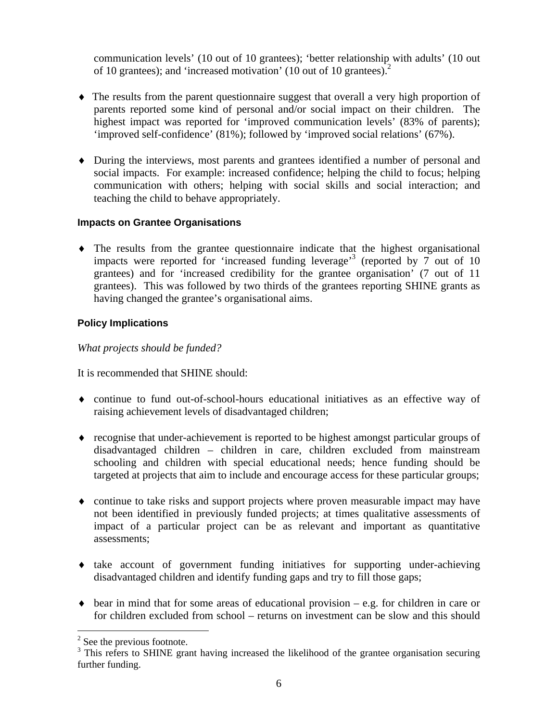communication levels' (10 out of 10 grantees); 'better relationship with adults' (10 out of 10 grantees); and 'increased motivation' (10 out of 10 grantees).2

- ♦ The results from the parent questionnaire suggest that overall a very high proportion of parents reported some kind of personal and/or social impact on their children. The highest impact was reported for 'improved communication levels' (83% of parents); 'improved self-confidence' (81%); followed by 'improved social relations' (67%).
- ♦ During the interviews, most parents and grantees identified a number of personal and social impacts. For example: increased confidence; helping the child to focus; helping communication with others; helping with social skills and social interaction; and teaching the child to behave appropriately.

#### **Impacts on Grantee Organisations**

♦ The results from the grantee questionnaire indicate that the highest organisational impacts were reported for 'increased funding leverage'<sup>3</sup> (reported by  $\overline{7}$  out of 10 grantees) and for 'increased credibility for the grantee organisation' (7 out of 11 grantees). This was followed by two thirds of the grantees reporting SHINE grants as having changed the grantee's organisational aims.

#### **Policy Implications**

*What projects should be funded?* 

It is recommended that SHINE should:

- ♦ continue to fund out-of-school-hours educational initiatives as an effective way of raising achievement levels of disadvantaged children;
- ♦ recognise that under-achievement is reported to be highest amongst particular groups of disadvantaged children – children in care, children excluded from mainstream schooling and children with special educational needs; hence funding should be targeted at projects that aim to include and encourage access for these particular groups;
- ♦ continue to take risks and support projects where proven measurable impact may have not been identified in previously funded projects; at times qualitative assessments of impact of a particular project can be as relevant and important as quantitative assessments;
- ♦ take account of government funding initiatives for supporting under-achieving disadvantaged children and identify funding gaps and try to fill those gaps;
- $\bullet$  bear in mind that for some areas of educational provision e.g. for children in care or for children excluded from school – returns on investment can be slow and this should

1

 $2^2$  See the previous footnote.

<sup>&</sup>lt;sup>3</sup> This refers to SHINE grant having increased the likelihood of the grantee organisation securing further funding.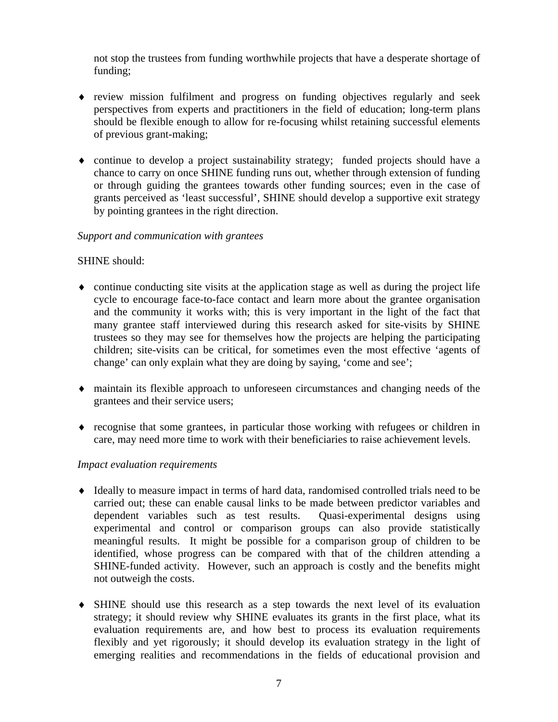not stop the trustees from funding worthwhile projects that have a desperate shortage of funding;

- ♦ review mission fulfilment and progress on funding objectives regularly and seek perspectives from experts and practitioners in the field of education; long-term plans should be flexible enough to allow for re-focusing whilst retaining successful elements of previous grant-making;
- ♦ continue to develop a project sustainability strategy; funded projects should have a chance to carry on once SHINE funding runs out, whether through extension of funding or through guiding the grantees towards other funding sources; even in the case of grants perceived as 'least successful', SHINE should develop a supportive exit strategy by pointing grantees in the right direction.

#### *Support and communication with grantees*

#### SHINE should:

- $\bullet$  continue conducting site visits at the application stage as well as during the project life cycle to encourage face-to-face contact and learn more about the grantee organisation and the community it works with; this is very important in the light of the fact that many grantee staff interviewed during this research asked for site-visits by SHINE trustees so they may see for themselves how the projects are helping the participating children; site-visits can be critical, for sometimes even the most effective 'agents of change' can only explain what they are doing by saying, 'come and see';
- ♦ maintain its flexible approach to unforeseen circumstances and changing needs of the grantees and their service users;
- ♦ recognise that some grantees, in particular those working with refugees or children in care, may need more time to work with their beneficiaries to raise achievement levels.

#### *Impact evaluation requirements*

- ♦ Ideally to measure impact in terms of hard data, randomised controlled trials need to be carried out; these can enable causal links to be made between predictor variables and dependent variables such as test results. Quasi-experimental designs using experimental and control or comparison groups can also provide statistically meaningful results. It might be possible for a comparison group of children to be identified, whose progress can be compared with that of the children attending a SHINE-funded activity. However, such an approach is costly and the benefits might not outweigh the costs.
- ♦ SHINE should use this research as a step towards the next level of its evaluation strategy; it should review why SHINE evaluates its grants in the first place, what its evaluation requirements are, and how best to process its evaluation requirements flexibly and yet rigorously; it should develop its evaluation strategy in the light of emerging realities and recommendations in the fields of educational provision and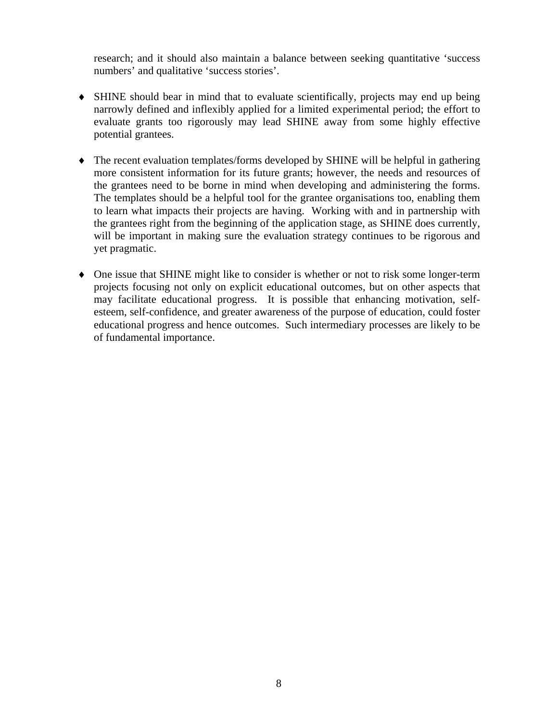research; and it should also maintain a balance between seeking quantitative 'success numbers' and qualitative 'success stories'.

- ♦ SHINE should bear in mind that to evaluate scientifically, projects may end up being narrowly defined and inflexibly applied for a limited experimental period; the effort to evaluate grants too rigorously may lead SHINE away from some highly effective potential grantees.
- ♦ The recent evaluation templates/forms developed by SHINE will be helpful in gathering more consistent information for its future grants; however, the needs and resources of the grantees need to be borne in mind when developing and administering the forms. The templates should be a helpful tool for the grantee organisations too, enabling them to learn what impacts their projects are having. Working with and in partnership with the grantees right from the beginning of the application stage, as SHINE does currently, will be important in making sure the evaluation strategy continues to be rigorous and yet pragmatic.
- ♦ One issue that SHINE might like to consider is whether or not to risk some longer-term projects focusing not only on explicit educational outcomes, but on other aspects that may facilitate educational progress. It is possible that enhancing motivation, selfesteem, self-confidence, and greater awareness of the purpose of education, could foster educational progress and hence outcomes. Such intermediary processes are likely to be of fundamental importance.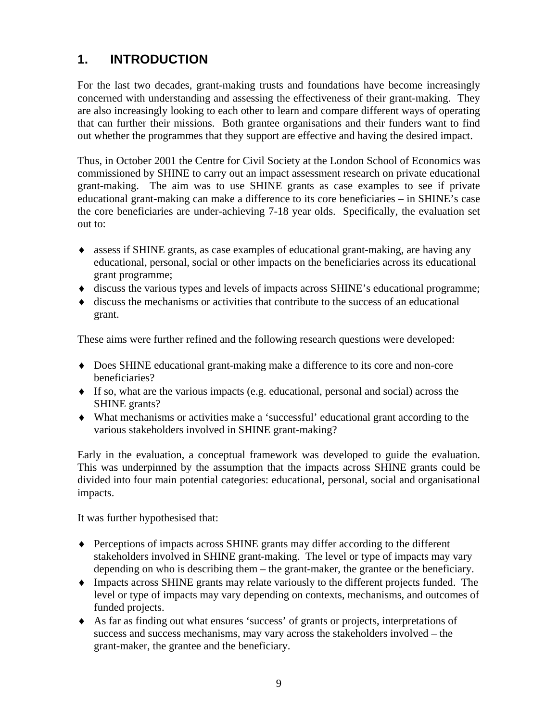# **1. INTRODUCTION**

For the last two decades, grant-making trusts and foundations have become increasingly concerned with understanding and assessing the effectiveness of their grant-making. They are also increasingly looking to each other to learn and compare different ways of operating that can further their missions. Both grantee organisations and their funders want to find out whether the programmes that they support are effective and having the desired impact.

Thus, in October 2001 the Centre for Civil Society at the London School of Economics was commissioned by SHINE to carry out an impact assessment research on private educational grant-making. The aim was to use SHINE grants as case examples to see if private educational grant-making can make a difference to its core beneficiaries – in SHINE's case the core beneficiaries are under-achieving 7-18 year olds. Specifically, the evaluation set out to:

- ♦ assess if SHINE grants, as case examples of educational grant-making, are having any educational, personal, social or other impacts on the beneficiaries across its educational grant programme;
- ♦ discuss the various types and levels of impacts across SHINE's educational programme;
- ♦ discuss the mechanisms or activities that contribute to the success of an educational grant.

These aims were further refined and the following research questions were developed:

- ♦ Does SHINE educational grant-making make a difference to its core and non-core beneficiaries?
- $\bullet$  If so, what are the various impacts (e.g. educational, personal and social) across the SHINE grants?
- ♦ What mechanisms or activities make a 'successful' educational grant according to the various stakeholders involved in SHINE grant-making?

Early in the evaluation, a conceptual framework was developed to guide the evaluation. This was underpinned by the assumption that the impacts across SHINE grants could be divided into four main potential categories: educational, personal, social and organisational impacts.

It was further hypothesised that:

- ♦ Perceptions of impacts across SHINE grants may differ according to the different stakeholders involved in SHINE grant-making. The level or type of impacts may vary depending on who is describing them – the grant-maker, the grantee or the beneficiary.
- ♦ Impacts across SHINE grants may relate variously to the different projects funded. The level or type of impacts may vary depending on contexts, mechanisms, and outcomes of funded projects.
- ♦ As far as finding out what ensures 'success' of grants or projects, interpretations of success and success mechanisms, may vary across the stakeholders involved – the grant-maker, the grantee and the beneficiary.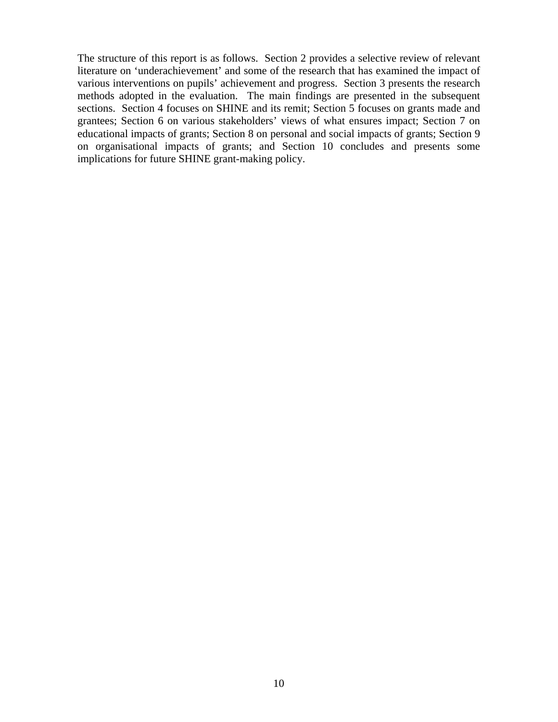The structure of this report is as follows. Section 2 provides a selective review of relevant literature on 'underachievement' and some of the research that has examined the impact of various interventions on pupils' achievement and progress. Section 3 presents the research methods adopted in the evaluation. The main findings are presented in the subsequent sections. Section 4 focuses on SHINE and its remit; Section 5 focuses on grants made and grantees; Section 6 on various stakeholders' views of what ensures impact; Section 7 on educational impacts of grants; Section 8 on personal and social impacts of grants; Section 9 on organisational impacts of grants; and Section 10 concludes and presents some implications for future SHINE grant-making policy.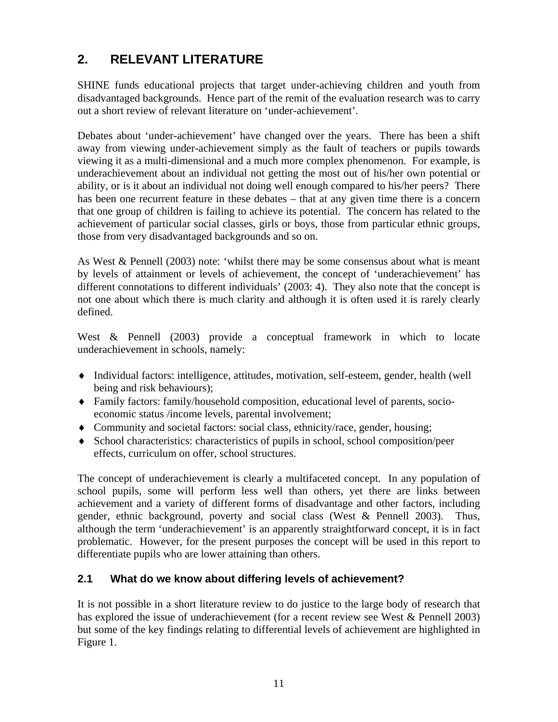# **2. RELEVANT LITERATURE**

SHINE funds educational projects that target under-achieving children and youth from disadvantaged backgrounds. Hence part of the remit of the evaluation research was to carry out a short review of relevant literature on 'under-achievement'.

Debates about 'under-achievement' have changed over the years. There has been a shift away from viewing under-achievement simply as the fault of teachers or pupils towards viewing it as a multi-dimensional and a much more complex phenomenon. For example, is underachievement about an individual not getting the most out of his/her own potential or ability, or is it about an individual not doing well enough compared to his/her peers? There has been one recurrent feature in these debates – that at any given time there is a concern that one group of children is failing to achieve its potential. The concern has related to the achievement of particular social classes, girls or boys, those from particular ethnic groups, those from very disadvantaged backgrounds and so on.

As West & Pennell (2003) note: 'whilst there may be some consensus about what is meant by levels of attainment or levels of achievement, the concept of 'underachievement' has different connotations to different individuals' (2003: 4). They also note that the concept is not one about which there is much clarity and although it is often used it is rarely clearly defined.

West & Pennell (2003) provide a conceptual framework in which to locate underachievement in schools, namely:

- ♦ Individual factors: intelligence, attitudes, motivation, self-esteem, gender, health (well being and risk behaviours);
- ♦ Family factors: family/household composition, educational level of parents, socioeconomic status /income levels, parental involvement;
- ♦ Community and societal factors: social class, ethnicity/race, gender, housing;
- ♦ School characteristics: characteristics of pupils in school, school composition/peer effects, curriculum on offer, school structures.

The concept of underachievement is clearly a multifaceted concept. In any population of school pupils, some will perform less well than others, yet there are links between achievement and a variety of different forms of disadvantage and other factors, including gender, ethnic background, poverty and social class (West & Pennell 2003). Thus, although the term 'underachievement' is an apparently straightforward concept, it is in fact problematic. However, for the present purposes the concept will be used in this report to differentiate pupils who are lower attaining than others.

# **2.1 What do we know about differing levels of achievement?**

It is not possible in a short literature review to do justice to the large body of research that has explored the issue of underachievement (for a recent review see West & Pennell 2003) but some of the key findings relating to differential levels of achievement are highlighted in Figure 1.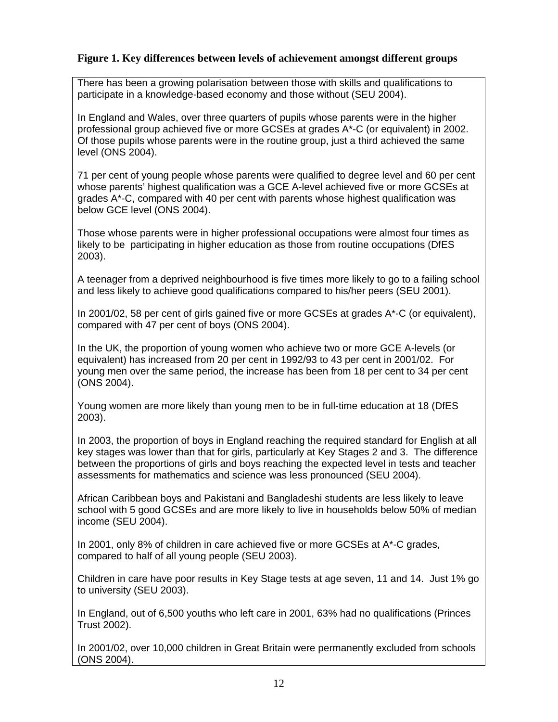### **Figure 1. Key differences between levels of achievement amongst different groups**

There has been a growing polarisation between those with skills and qualifications to participate in a knowledge-based economy and those without (SEU 2004).

In England and Wales, over three quarters of pupils whose parents were in the higher professional group achieved five or more GCSEs at grades A\*-C (or equivalent) in 2002. Of those pupils whose parents were in the routine group, just a third achieved the same level (ONS 2004).

71 per cent of young people whose parents were qualified to degree level and 60 per cent whose parents' highest qualification was a GCE A-level achieved five or more GCSEs at grades A\*-C, compared with 40 per cent with parents whose highest qualification was below GCE level (ONS 2004).

Those whose parents were in higher professional occupations were almost four times as likely to be participating in higher education as those from routine occupations (DfES 2003).

A teenager from a deprived neighbourhood is five times more likely to go to a failing school and less likely to achieve good qualifications compared to his/her peers (SEU 2001).

In 2001/02, 58 per cent of girls gained five or more GCSEs at grades A\*-C (or equivalent), compared with 47 per cent of boys (ONS 2004).

In the UK, the proportion of young women who achieve two or more GCE A-levels (or equivalent) has increased from 20 per cent in 1992/93 to 43 per cent in 2001/02. For young men over the same period, the increase has been from 18 per cent to 34 per cent (ONS 2004).

Young women are more likely than young men to be in full-time education at 18 (DfES 2003).

In 2003, the proportion of boys in England reaching the required standard for English at all key stages was lower than that for girls, particularly at Key Stages 2 and 3. The difference between the proportions of girls and boys reaching the expected level in tests and teacher assessments for mathematics and science was less pronounced (SEU 2004).

African Caribbean boys and Pakistani and Bangladeshi students are less likely to leave school with 5 good GCSEs and are more likely to live in households below 50% of median income (SEU 2004).

In 2001, only 8% of children in care achieved five or more GCSEs at A\*-C grades, compared to half of all young people (SEU 2003).

Children in care have poor results in Key Stage tests at age seven, 11 and 14. Just 1% go to university (SEU 2003).

In England, out of 6,500 youths who left care in 2001, 63% had no qualifications (Princes Trust 2002).

In 2001/02, over 10,000 children in Great Britain were permanently excluded from schools (ONS 2004).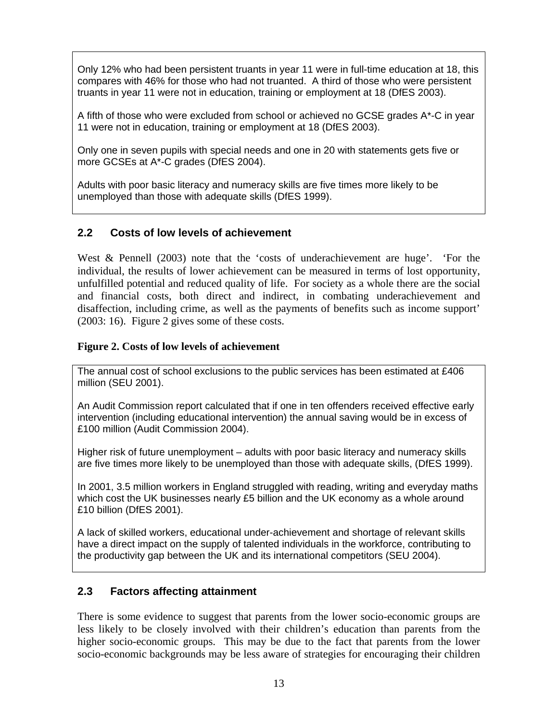Only 12% who had been persistent truants in year 11 were in full-time education at 18, this compares with 46% for those who had not truanted. A third of those who were persistent truants in year 11 were not in education, training or employment at 18 (DfES 2003).

A fifth of those who were excluded from school or achieved no GCSE grades A\*-C in year 11 were not in education, training or employment at 18 (DfES 2003).

Only one in seven pupils with special needs and one in 20 with statements gets five or more GCSEs at A\*-C grades (DfES 2004).

Adults with poor basic literacy and numeracy skills are five times more likely to be unemployed than those with adequate skills (DfES 1999).

### **2.2 Costs of low levels of achievement**

West & Pennell (2003) note that the 'costs of underachievement are huge'. 'For the individual, the results of lower achievement can be measured in terms of lost opportunity, unfulfilled potential and reduced quality of life. For society as a whole there are the social and financial costs, both direct and indirect, in combating underachievement and disaffection, including crime, as well as the payments of benefits such as income support' (2003: 16). Figure 2 gives some of these costs.

#### **Figure 2. Costs of low levels of achievement**

The annual cost of school exclusions to the public services has been estimated at £406 million (SEU 2001).

An Audit Commission report calculated that if one in ten offenders received effective early intervention (including educational intervention) the annual saving would be in excess of £100 million (Audit Commission 2004).

Higher risk of future unemployment – adults with poor basic literacy and numeracy skills are five times more likely to be unemployed than those with adequate skills, (DfES 1999).

In 2001, 3.5 million workers in England struggled with reading, writing and everyday maths which cost the UK businesses nearly £5 billion and the UK economy as a whole around £10 billion (DfES 2001).

A lack of skilled workers, educational under-achievement and shortage of relevant skills have a direct impact on the supply of talented individuals in the workforce, contributing to the productivity gap between the UK and its international competitors (SEU 2004).

#### **2.3 Factors affecting attainment**

There is some evidence to suggest that parents from the lower socio-economic groups are less likely to be closely involved with their children's education than parents from the higher socio-economic groups. This may be due to the fact that parents from the lower socio-economic backgrounds may be less aware of strategies for encouraging their children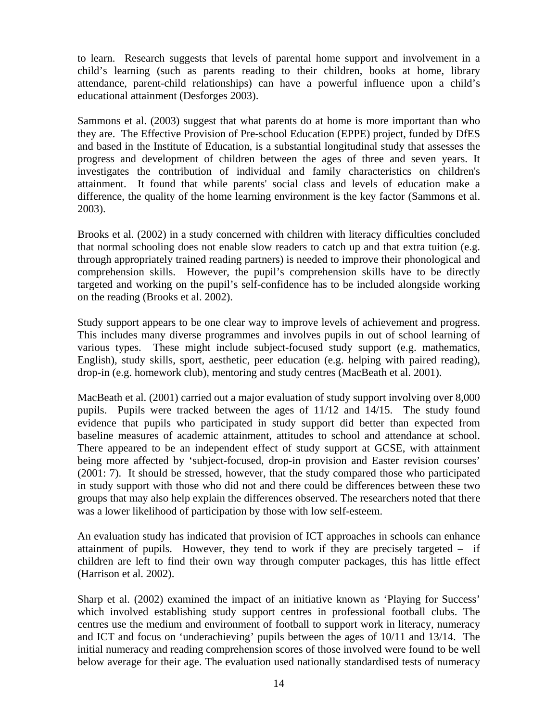to learn. Research suggests that levels of parental home support and involvement in a child's learning (such as parents reading to their children, books at home, library attendance, parent-child relationships) can have a powerful influence upon a child's educational attainment (Desforges 2003).

Sammons et al. (2003) suggest that what parents do at home is more important than who they are. The Effective Provision of Pre-school Education (EPPE) project, funded by DfES and based in the Institute of Education, is a substantial longitudinal study that assesses the progress and development of children between the ages of three and seven years. It investigates the contribution of individual and family characteristics on children's attainment. It found that while parents' social class and levels of education make a difference, the quality of the home learning environment is the key factor (Sammons et al. 2003).

Brooks et al. (2002) in a study concerned with children with literacy difficulties concluded that normal schooling does not enable slow readers to catch up and that extra tuition (e.g. through appropriately trained reading partners) is needed to improve their phonological and comprehension skills. However, the pupil's comprehension skills have to be directly targeted and working on the pupil's self-confidence has to be included alongside working on the reading (Brooks et al. 2002).

Study support appears to be one clear way to improve levels of achievement and progress. This includes many diverse programmes and involves pupils in out of school learning of various types. These might include subject-focused study support (e.g. mathematics, English), study skills, sport, aesthetic, peer education (e.g. helping with paired reading), drop-in (e.g. homework club), mentoring and study centres (MacBeath et al. 2001).

MacBeath et al. (2001) carried out a major evaluation of study support involving over 8,000 pupils. Pupils were tracked between the ages of 11/12 and 14/15. The study found evidence that pupils who participated in study support did better than expected from baseline measures of academic attainment, attitudes to school and attendance at school. There appeared to be an independent effect of study support at GCSE, with attainment being more affected by 'subject-focused, drop-in provision and Easter revision courses' (2001: 7). It should be stressed, however, that the study compared those who participated in study support with those who did not and there could be differences between these two groups that may also help explain the differences observed. The researchers noted that there was a lower likelihood of participation by those with low self-esteem.

An evaluation study has indicated that provision of ICT approaches in schools can enhance attainment of pupils. However, they tend to work if they are precisely targeted – if children are left to find their own way through computer packages, this has little effect (Harrison et al. 2002).

Sharp et al. (2002) examined the impact of an initiative known as 'Playing for Success' which involved establishing study support centres in professional football clubs. The centres use the medium and environment of football to support work in literacy, numeracy and ICT and focus on 'underachieving' pupils between the ages of 10/11 and 13/14. The initial numeracy and reading comprehension scores of those involved were found to be well below average for their age. The evaluation used nationally standardised tests of numeracy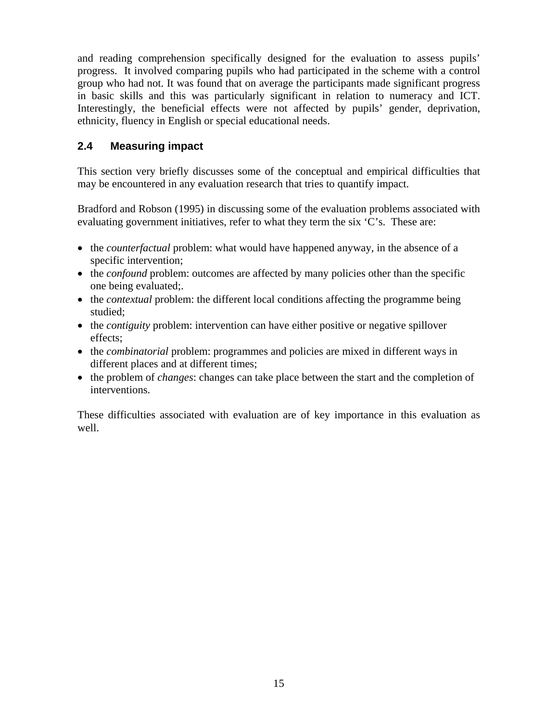and reading comprehension specifically designed for the evaluation to assess pupils' progress. It involved comparing pupils who had participated in the scheme with a control group who had not. It was found that on average the participants made significant progress in basic skills and this was particularly significant in relation to numeracy and ICT. Interestingly, the beneficial effects were not affected by pupils' gender, deprivation, ethnicity, fluency in English or special educational needs.

# **2.4 Measuring impact**

This section very briefly discusses some of the conceptual and empirical difficulties that may be encountered in any evaluation research that tries to quantify impact.

Bradford and Robson (1995) in discussing some of the evaluation problems associated with evaluating government initiatives, refer to what they term the six 'C's. These are:

- the *counterfactual* problem: what would have happened anyway, in the absence of a specific intervention;
- the *confound* problem: outcomes are affected by many policies other than the specific one being evaluated;.
- the *contextual* problem: the different local conditions affecting the programme being studied;
- the *contiguity* problem: intervention can have either positive or negative spillover effects;
- the *combinatorial* problem: programmes and policies are mixed in different ways in different places and at different times;
- the problem of *changes*: changes can take place between the start and the completion of interventions.

These difficulties associated with evaluation are of key importance in this evaluation as well.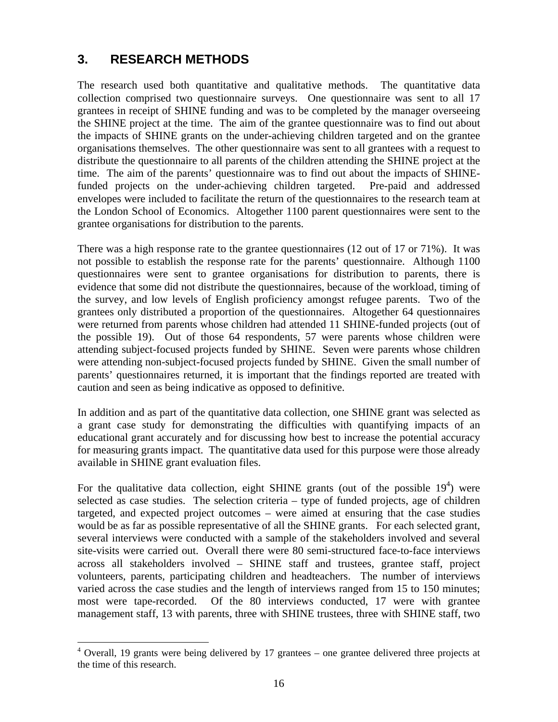# **3. RESEARCH METHODS**

<u>.</u>

The research used both quantitative and qualitative methods. The quantitative data collection comprised two questionnaire surveys. One questionnaire was sent to all 17 grantees in receipt of SHINE funding and was to be completed by the manager overseeing the SHINE project at the time. The aim of the grantee questionnaire was to find out about the impacts of SHINE grants on the under-achieving children targeted and on the grantee organisations themselves. The other questionnaire was sent to all grantees with a request to distribute the questionnaire to all parents of the children attending the SHINE project at the time. The aim of the parents' questionnaire was to find out about the impacts of SHINEfunded projects on the under-achieving children targeted. Pre-paid and addressed envelopes were included to facilitate the return of the questionnaires to the research team at the London School of Economics. Altogether 1100 parent questionnaires were sent to the grantee organisations for distribution to the parents.

There was a high response rate to the grantee questionnaires (12 out of 17 or 71%). It was not possible to establish the response rate for the parents' questionnaire. Although 1100 questionnaires were sent to grantee organisations for distribution to parents, there is evidence that some did not distribute the questionnaires, because of the workload, timing of the survey, and low levels of English proficiency amongst refugee parents. Two of the grantees only distributed a proportion of the questionnaires. Altogether 64 questionnaires were returned from parents whose children had attended 11 SHINE-funded projects (out of the possible 19). Out of those 64 respondents, 57 were parents whose children were attending subject-focused projects funded by SHINE. Seven were parents whose children were attending non-subject-focused projects funded by SHINE. Given the small number of parents' questionnaires returned, it is important that the findings reported are treated with caution and seen as being indicative as opposed to definitive.

In addition and as part of the quantitative data collection, one SHINE grant was selected as a grant case study for demonstrating the difficulties with quantifying impacts of an educational grant accurately and for discussing how best to increase the potential accuracy for measuring grants impact. The quantitative data used for this purpose were those already available in SHINE grant evaluation files.

For the qualitative data collection, eight SHINE grants (out of the possible  $19<sup>4</sup>$ ) were selected as case studies. The selection criteria – type of funded projects, age of children targeted, and expected project outcomes – were aimed at ensuring that the case studies would be as far as possible representative of all the SHINE grants. For each selected grant, several interviews were conducted with a sample of the stakeholders involved and several site-visits were carried out. Overall there were 80 semi-structured face-to-face interviews across all stakeholders involved – SHINE staff and trustees, grantee staff, project volunteers, parents, participating children and headteachers. The number of interviews varied across the case studies and the length of interviews ranged from 15 to 150 minutes; most were tape-recorded. Of the 80 interviews conducted, 17 were with grantee management staff, 13 with parents, three with SHINE trustees, three with SHINE staff, two

 $4$  Overall, 19 grants were being delivered by 17 grantees – one grantee delivered three projects at the time of this research.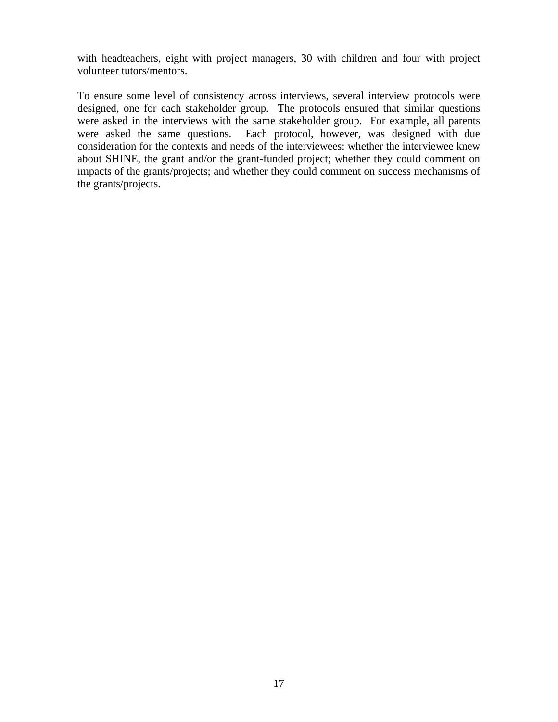with headteachers, eight with project managers, 30 with children and four with project volunteer tutors/mentors.

To ensure some level of consistency across interviews, several interview protocols were designed, one for each stakeholder group. The protocols ensured that similar questions were asked in the interviews with the same stakeholder group. For example, all parents were asked the same questions. Each protocol, however, was designed with due consideration for the contexts and needs of the interviewees: whether the interviewee knew about SHINE, the grant and/or the grant-funded project; whether they could comment on impacts of the grants/projects; and whether they could comment on success mechanisms of the grants/projects.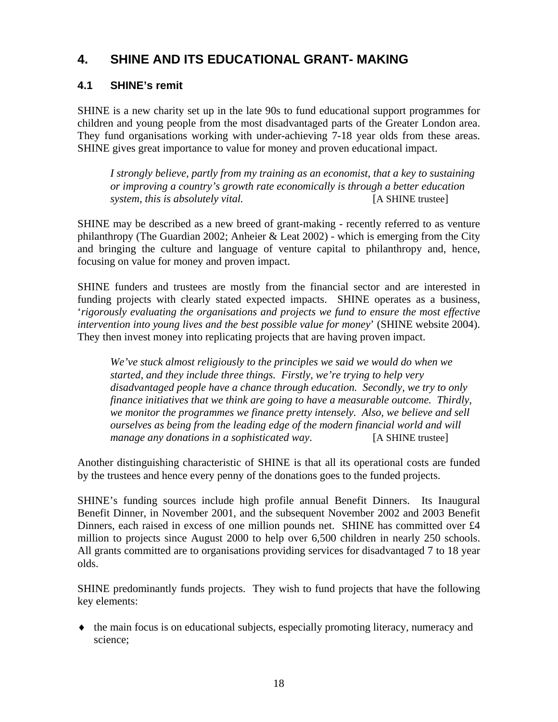# **4. SHINE AND ITS EDUCATIONAL GRANT- MAKING**

# **4.1 SHINE's remit**

SHINE is a new charity set up in the late 90s to fund educational support programmes for children and young people from the most disadvantaged parts of the Greater London area. They fund organisations working with under-achieving 7-18 year olds from these areas. SHINE gives great importance to value for money and proven educational impact.

*I strongly believe, partly from my training as an economist, that a key to sustaining or improving a country's growth rate economically is through a better education system, this is absolutely vital.* [A SHINE trustee]

SHINE may be described as a new breed of grant-making - recently referred to as venture philanthropy (The Guardian 2002; Anheier & Leat 2002) - which is emerging from the City and bringing the culture and language of venture capital to philanthropy and, hence, focusing on value for money and proven impact.

SHINE funders and trustees are mostly from the financial sector and are interested in funding projects with clearly stated expected impacts. SHINE operates as a business, '*rigorously evaluating the organisations and projects we fund to ensure the most effective intervention into young lives and the best possible value for money*' (SHINE website 2004). They then invest money into replicating projects that are having proven impact.

*We've stuck almost religiously to the principles we said we would do when we started, and they include three things. Firstly, we're trying to help very disadvantaged people have a chance through education. Secondly, we try to only finance initiatives that we think are going to have a measurable outcome. Thirdly, we monitor the programmes we finance pretty intensely. Also, we believe and sell ourselves as being from the leading edge of the modern financial world and will manage any donations in a sophisticated way*. [A SHINE trustee]

Another distinguishing characteristic of SHINE is that all its operational costs are funded by the trustees and hence every penny of the donations goes to the funded projects.

SHINE's funding sources include high profile annual Benefit Dinners. Its Inaugural Benefit Dinner, in November 2001, and the subsequent November 2002 and 2003 Benefit Dinners, each raised in excess of one million pounds net. SHINE has committed over £4 million to projects since August 2000 to help over 6,500 children in nearly 250 schools. All grants committed are to organisations providing services for disadvantaged 7 to 18 year olds.

SHINE predominantly funds projects. They wish to fund projects that have the following key elements:

♦ the main focus is on educational subjects, especially promoting literacy, numeracy and science;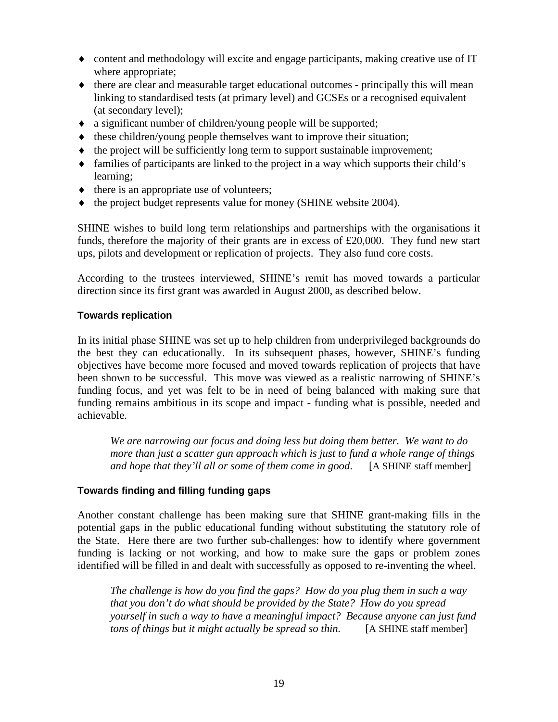- ♦ content and methodology will excite and engage participants, making creative use of IT where appropriate;
- ♦ there are clear and measurable target educational outcomes principally this will mean linking to standardised tests (at primary level) and GCSEs or a recognised equivalent (at secondary level);
- ♦ a significant number of children/young people will be supported;
- ♦ these children/young people themselves want to improve their situation;
- ♦ the project will be sufficiently long term to support sustainable improvement;
- ♦ families of participants are linked to the project in a way which supports their child's learning;
- $\bullet$  there is an appropriate use of volunteers;
- ♦ the project budget represents value for money (SHINE website 2004).

SHINE wishes to build long term relationships and partnerships with the organisations it funds, therefore the majority of their grants are in excess of £20,000. They fund new start ups, pilots and development or replication of projects. They also fund core costs.

According to the trustees interviewed, SHINE's remit has moved towards a particular direction since its first grant was awarded in August 2000, as described below.

#### **Towards replication**

In its initial phase SHINE was set up to help children from underprivileged backgrounds do the best they can educationally. In its subsequent phases, however, SHINE's funding objectives have become more focused and moved towards replication of projects that have been shown to be successful. This move was viewed as a realistic narrowing of SHINE's funding focus, and yet was felt to be in need of being balanced with making sure that funding remains ambitious in its scope and impact - funding what is possible, needed and achievable.

*We are narrowing our focus and doing less but doing them better. We want to do more than just a scatter gun approach which is just to fund a whole range of things and hope that they'll all or some of them come in good*. [A SHINE staff member]

#### **Towards finding and filling funding gaps**

Another constant challenge has been making sure that SHINE grant-making fills in the potential gaps in the public educational funding without substituting the statutory role of the State. Here there are two further sub-challenges: how to identify where government funding is lacking or not working, and how to make sure the gaps or problem zones identified will be filled in and dealt with successfully as opposed to re-inventing the wheel.

*The challenge is how do you find the gaps? How do you plug them in such a way that you don't do what should be provided by the State? How do you spread yourself in such a way to have a meaningful impact? Because anyone can just fund tons of things but it might actually be spread so thin.* [A SHINE staff member]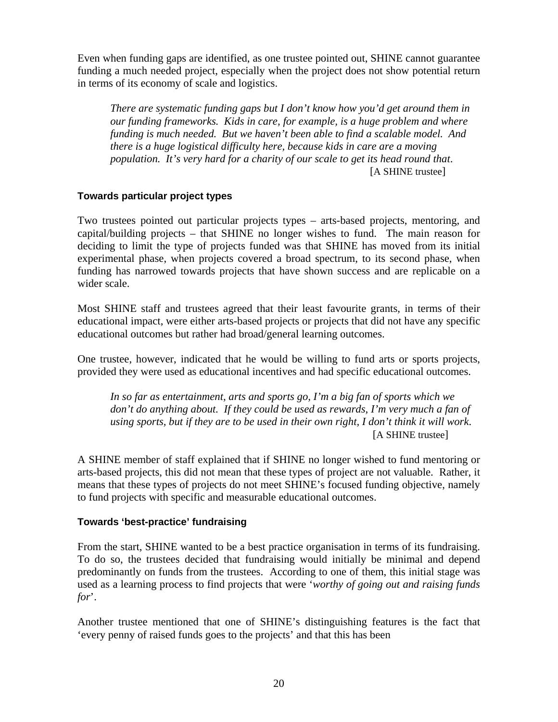Even when funding gaps are identified, as one trustee pointed out, SHINE cannot guarantee funding a much needed project, especially when the project does not show potential return in terms of its economy of scale and logistics.

*There are systematic funding gaps but I don't know how you'd get around them in our funding frameworks. Kids in care, for example, is a huge problem and where funding is much needed. But we haven't been able to find a scalable model. And there is a huge logistical difficulty here, because kids in care are a moving population. It's very hard for a charity of our scale to get its head round that*. [A SHINE trustee]

#### **Towards particular project types**

Two trustees pointed out particular projects types – arts-based projects, mentoring, and capital/building projects – that SHINE no longer wishes to fund. The main reason for deciding to limit the type of projects funded was that SHINE has moved from its initial experimental phase, when projects covered a broad spectrum, to its second phase, when funding has narrowed towards projects that have shown success and are replicable on a wider scale.

Most SHINE staff and trustees agreed that their least favourite grants, in terms of their educational impact, were either arts-based projects or projects that did not have any specific educational outcomes but rather had broad/general learning outcomes.

One trustee, however, indicated that he would be willing to fund arts or sports projects, provided they were used as educational incentives and had specific educational outcomes.

*In so far as entertainment, arts and sports go, I'm a big fan of sports which we*  don't do anything about. If they could be used as rewards, I'm very much a fan of *using sports, but if they are to be used in their own right, I don't think it will work*. [A SHINE trustee]

A SHINE member of staff explained that if SHINE no longer wished to fund mentoring or arts-based projects, this did not mean that these types of project are not valuable. Rather, it means that these types of projects do not meet SHINE's focused funding objective, namely to fund projects with specific and measurable educational outcomes.

#### **Towards 'best-practice' fundraising**

From the start, SHINE wanted to be a best practice organisation in terms of its fundraising. To do so, the trustees decided that fundraising would initially be minimal and depend predominantly on funds from the trustees. According to one of them, this initial stage was used as a learning process to find projects that were '*worthy of going out and raising funds for*'.

Another trustee mentioned that one of SHINE's distinguishing features is the fact that 'every penny of raised funds goes to the projects' and that this has been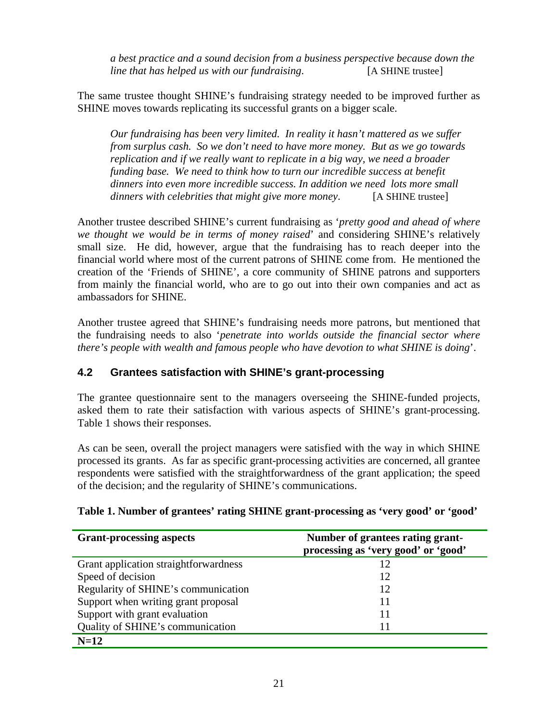*a best practice and a sound decision from a business perspective because down the line that has helped us with our fundraising*. [A SHINE trustee]

The same trustee thought SHINE's fundraising strategy needed to be improved further as SHINE moves towards replicating its successful grants on a bigger scale.

*Our fundraising has been very limited. In reality it hasn't mattered as we suffer from surplus cash. So we don't need to have more money. But as we go towards replication and if we really want to replicate in a big way, we need a broader funding base. We need to think how to turn our incredible success at benefit dinners into even more incredible success. In addition we need lots more small dinners with celebrities that might give more money*. [A SHINE trustee]

Another trustee described SHINE's current fundraising as '*pretty good and ahead of where we thought we would be in terms of money raised*' and considering SHINE's relatively small size. He did, however, argue that the fundraising has to reach deeper into the financial world where most of the current patrons of SHINE come from. He mentioned the creation of the 'Friends of SHINE', a core community of SHINE patrons and supporters from mainly the financial world, who are to go out into their own companies and act as ambassadors for SHINE.

Another trustee agreed that SHINE's fundraising needs more patrons, but mentioned that the fundraising needs to also '*penetrate into worlds outside the financial sector where there's people with wealth and famous people who have devotion to what SHINE is doing*'.

# **4.2 Grantees satisfaction with SHINE's grant-processing**

The grantee questionnaire sent to the managers overseeing the SHINE-funded projects, asked them to rate their satisfaction with various aspects of SHINE's grant-processing. Table 1 shows their responses.

As can be seen, overall the project managers were satisfied with the way in which SHINE processed its grants. As far as specific grant-processing activities are concerned, all grantee respondents were satisfied with the straightforwardness of the grant application; the speed of the decision; and the regularity of SHINE's communications.

| <b>Grant-processing aspects</b>       | Number of grantees rating grant-<br>processing as 'very good' or 'good' |
|---------------------------------------|-------------------------------------------------------------------------|
| Grant application straightforwardness | 12                                                                      |
| Speed of decision                     | 12                                                                      |
| Regularity of SHINE's communication   | 12                                                                      |
| Support when writing grant proposal   | 11                                                                      |
| Support with grant evaluation         | 11                                                                      |
| Quality of SHINE's communication      | 11                                                                      |
| $N=12$                                |                                                                         |

#### **Table 1. Number of grantees' rating SHINE grant-processing as 'very good' or 'good'**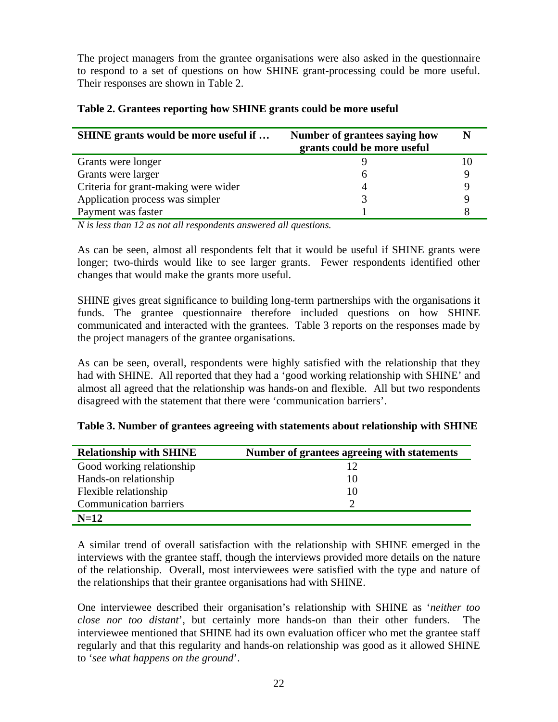The project managers from the grantee organisations were also asked in the questionnaire to respond to a set of questions on how SHINE grant-processing could be more useful. Their responses are shown in Table 2.

| <b>SHINE</b> grants would be more useful if | Number of grantees saying how<br>grants could be more useful |  |
|---------------------------------------------|--------------------------------------------------------------|--|
| Grants were longer                          |                                                              |  |
| Grants were larger                          | h                                                            |  |
| Criteria for grant-making were wider        | 4                                                            |  |
| Application process was simpler             |                                                              |  |
| Payment was faster                          |                                                              |  |

#### **Table 2. Grantees reporting how SHINE grants could be more useful**

*N is less than 12 as not all respondents answered all questions.* 

As can be seen, almost all respondents felt that it would be useful if SHINE grants were longer; two-thirds would like to see larger grants. Fewer respondents identified other changes that would make the grants more useful.

SHINE gives great significance to building long-term partnerships with the organisations it funds. The grantee questionnaire therefore included questions on how SHINE communicated and interacted with the grantees. Table 3 reports on the responses made by the project managers of the grantee organisations.

As can be seen, overall, respondents were highly satisfied with the relationship that they had with SHINE. All reported that they had a 'good working relationship with SHINE' and almost all agreed that the relationship was hands-on and flexible. All but two respondents disagreed with the statement that there were 'communication barriers'.

| <b>Relationship with SHINE</b> | Number of grantees agreeing with statements |
|--------------------------------|---------------------------------------------|
| Good working relationship      | 12                                          |
| Hands-on relationship          | 10                                          |
| Flexible relationship          | 10                                          |
| <b>Communication barriers</b>  | ∍                                           |
| $N=12$                         |                                             |

**Table 3. Number of grantees agreeing with statements about relationship with SHINE** 

A similar trend of overall satisfaction with the relationship with SHINE emerged in the interviews with the grantee staff, though the interviews provided more details on the nature of the relationship. Overall, most interviewees were satisfied with the type and nature of the relationships that their grantee organisations had with SHINE.

One interviewee described their organisation's relationship with SHINE as '*neither too close nor too distant*', but certainly more hands-on than their other funders. The interviewee mentioned that SHINE had its own evaluation officer who met the grantee staff regularly and that this regularity and hands-on relationship was good as it allowed SHINE to '*see what happens on the ground*'.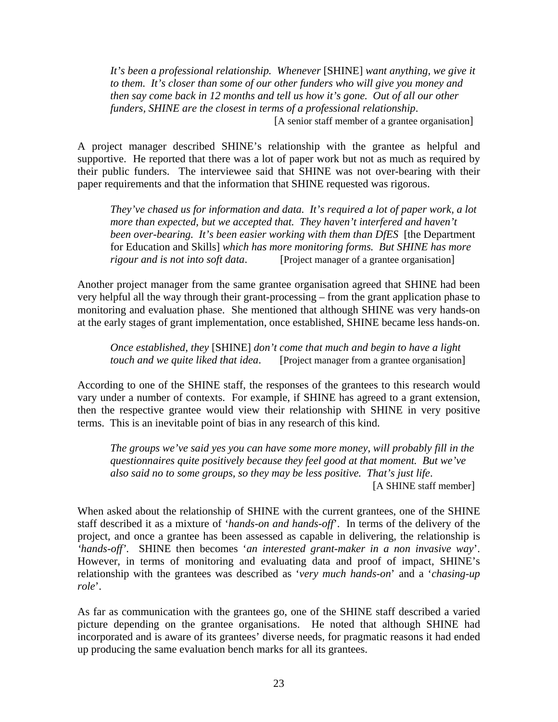*It's been a professional relationship. Whenever* [SHINE] *want anything, we give it to them. It's closer than some of our other funders who will give you money and then say come back in 12 months and tell us how it's gone. Out of all our other funders, SHINE are the closest in terms of a professional relationship*. [A senior staff member of a grantee organisation]

A project manager described SHINE's relationship with the grantee as helpful and supportive. He reported that there was a lot of paper work but not as much as required by their public funders. The interviewee said that SHINE was not over-bearing with their paper requirements and that the information that SHINE requested was rigorous.

*They've chased us for information and data. It's required a lot of paper work, a lot more than expected, but we accepted that. They haven't interfered and haven't been over-bearing. It's been easier working with them than DfES* [the Department for Education and Skills] *which has more monitoring forms. But SHINE has more rigour and is not into soft data*. [Project manager of a grantee organisation]

Another project manager from the same grantee organisation agreed that SHINE had been very helpful all the way through their grant-processing – from the grant application phase to monitoring and evaluation phase. She mentioned that although SHINE was very hands-on at the early stages of grant implementation, once established, SHINE became less hands-on.

*Once established, they* [SHINE] *don't come that much and begin to have a light touch and we quite liked that idea*. [Project manager from a grantee organisation]

According to one of the SHINE staff, the responses of the grantees to this research would vary under a number of contexts. For example, if SHINE has agreed to a grant extension, then the respective grantee would view their relationship with SHINE in very positive terms. This is an inevitable point of bias in any research of this kind.

*The groups we've said yes you can have some more money, will probably fill in the questionnaires quite positively because they feel good at that moment. But we've also said no to some groups, so they may be less positive. That's just life*. [A SHINE staff member]

When asked about the relationship of SHINE with the current grantees, one of the SHINE staff described it as a mixture of '*hands-on and hands-off*'. In terms of the delivery of the project, and once a grantee has been assessed as capable in delivering, the relationship is *'hands-off'*. SHINE then becomes '*an interested grant-maker in a non invasive way*'.

However, in terms of monitoring and evaluating data and proof of impact, SHINE's relationship with the grantees was described as '*very much hands-on*' and a '*chasing-up role*'.

As far as communication with the grantees go, one of the SHINE staff described a varied picture depending on the grantee organisations. He noted that although SHINE had incorporated and is aware of its grantees' diverse needs, for pragmatic reasons it had ended up producing the same evaluation bench marks for all its grantees.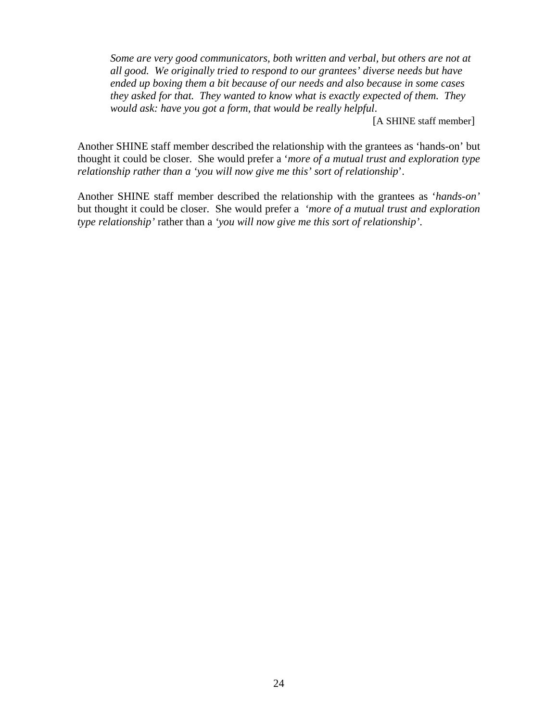*Some are very good communicators, both written and verbal, but others are not at all good. We originally tried to respond to our grantees' diverse needs but have ended up boxing them a bit because of our needs and also because in some cases they asked for that. They wanted to know what is exactly expected of them. They would ask: have you got a form, that would be really helpful*.

[A SHINE staff member]

Another SHINE staff member described the relationship with the grantees as 'hands-on' but thought it could be closer. She would prefer a '*more of a mutual trust and exploration type relationship rather than a 'you will now give me this' sort of relationship*'.

Another SHINE staff member described the relationship with the grantees as '*hands-on'*  but thought it could be closer. She would prefer a *'more of a mutual trust and exploration type relationship'* rather than a *'you will now give me this sort of relationship'*.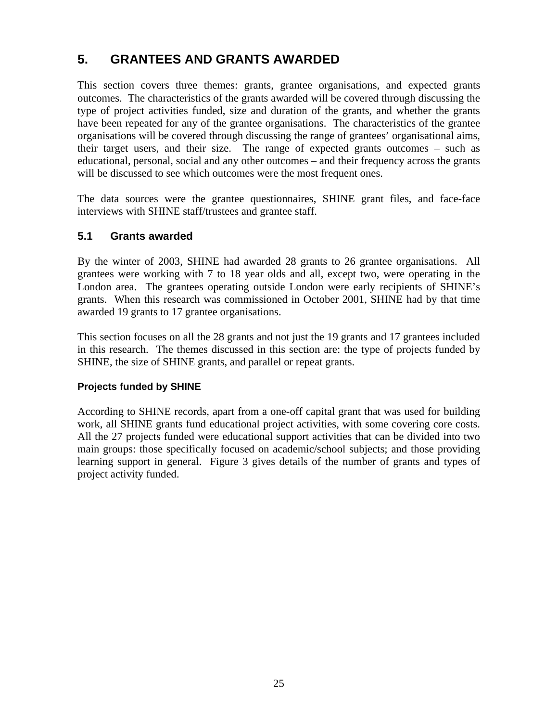# **5. GRANTEES AND GRANTS AWARDED**

This section covers three themes: grants, grantee organisations, and expected grants outcomes. The characteristics of the grants awarded will be covered through discussing the type of project activities funded, size and duration of the grants, and whether the grants have been repeated for any of the grantee organisations. The characteristics of the grantee organisations will be covered through discussing the range of grantees' organisational aims, their target users, and their size. The range of expected grants outcomes – such as educational, personal, social and any other outcomes – and their frequency across the grants will be discussed to see which outcomes were the most frequent ones.

The data sources were the grantee questionnaires, SHINE grant files, and face-face interviews with SHINE staff/trustees and grantee staff.

### **5.1 Grants awarded**

By the winter of 2003, SHINE had awarded 28 grants to 26 grantee organisations. All grantees were working with 7 to 18 year olds and all, except two, were operating in the London area. The grantees operating outside London were early recipients of SHINE's grants. When this research was commissioned in October 2001, SHINE had by that time awarded 19 grants to 17 grantee organisations.

This section focuses on all the 28 grants and not just the 19 grants and 17 grantees included in this research. The themes discussed in this section are: the type of projects funded by SHINE, the size of SHINE grants, and parallel or repeat grants.

#### **Projects funded by SHINE**

According to SHINE records, apart from a one-off capital grant that was used for building work, all SHINE grants fund educational project activities, with some covering core costs. All the 27 projects funded were educational support activities that can be divided into two main groups: those specifically focused on academic/school subjects; and those providing learning support in general. Figure 3 gives details of the number of grants and types of project activity funded.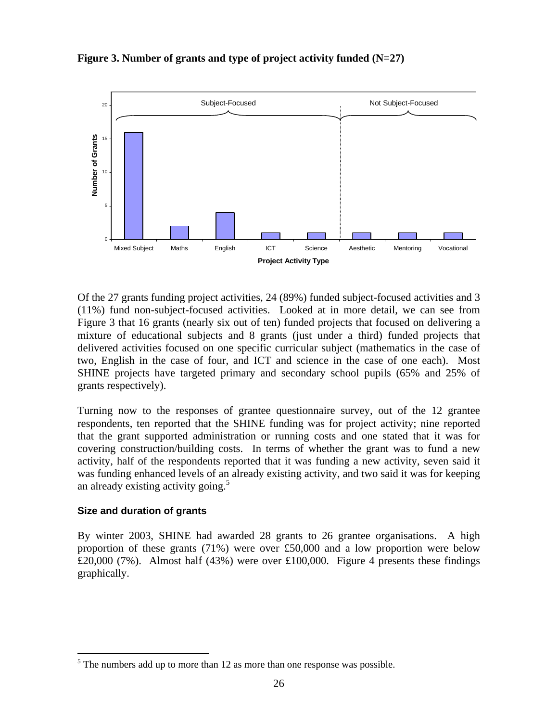

**Figure 3. Number of grants and type of project activity funded (N=27)** 

Of the 27 grants funding project activities, 24 (89%) funded subject-focused activities and 3 (11%) fund non-subject-focused activities. Looked at in more detail, we can see from Figure 3 that 16 grants (nearly six out of ten) funded projects that focused on delivering a mixture of educational subjects and 8 grants (just under a third) funded projects that delivered activities focused on one specific curricular subject (mathematics in the case of two, English in the case of four, and ICT and science in the case of one each). Most SHINE projects have targeted primary and secondary school pupils (65% and 25% of grants respectively).

Turning now to the responses of grantee questionnaire survey, out of the 12 grantee respondents, ten reported that the SHINE funding was for project activity; nine reported that the grant supported administration or running costs and one stated that it was for covering construction/building costs. In terms of whether the grant was to fund a new activity, half of the respondents reported that it was funding a new activity, seven said it was funding enhanced levels of an already existing activity, and two said it was for keeping an already existing activity going.<sup>5</sup>

#### **Size and duration of grants**

1

By winter 2003, SHINE had awarded 28 grants to 26 grantee organisations. A high proportion of these grants (71%) were over £50,000 and a low proportion were below £20,000 (7%). Almost half (43%) were over £100,000. Figure 4 presents these findings graphically.

 $<sup>5</sup>$  The numbers add up to more than 12 as more than one response was possible.</sup>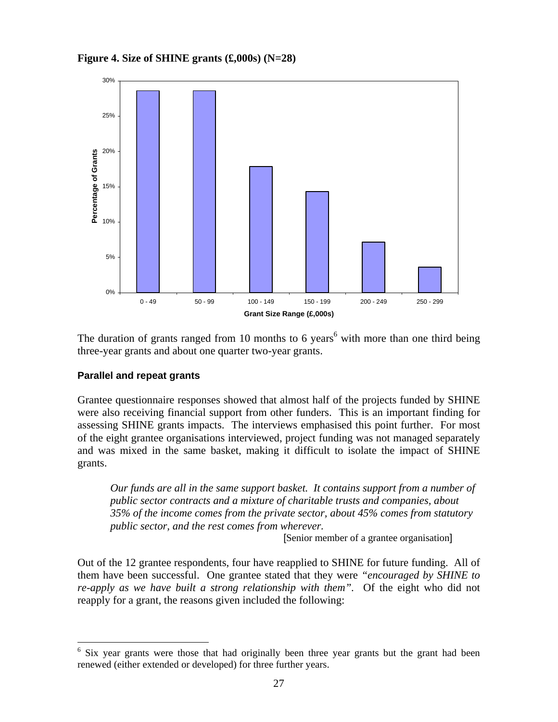**Figure 4. Size of SHINE grants (£,000s) (N=28)** 



The duration of grants ranged from 10 months to 6 years<sup>6</sup> with more than one third being three-year grants and about one quarter two-year grants.

#### **Parallel and repeat grants**

<u>.</u>

Grantee questionnaire responses showed that almost half of the projects funded by SHINE were also receiving financial support from other funders. This is an important finding for assessing SHINE grants impacts. The interviews emphasised this point further. For most of the eight grantee organisations interviewed, project funding was not managed separately and was mixed in the same basket, making it difficult to isolate the impact of SHINE grants.

*Our funds are all in the same support basket. It contains support from a number of public sector contracts and a mixture of charitable trusts and companies, about 35% of the income comes from the private sector, about 45% comes from statutory public sector, and the rest comes from wherever.*

[Senior member of a grantee organisation]

Out of the 12 grantee respondents, four have reapplied to SHINE for future funding. All of them have been successful. One grantee stated that they were *"encouraged by SHINE to re-apply as we have built a strong relationship with them"*. Of the eight who did not reapply for a grant, the reasons given included the following:

<sup>6</sup> Six year grants were those that had originally been three year grants but the grant had been renewed (either extended or developed) for three further years.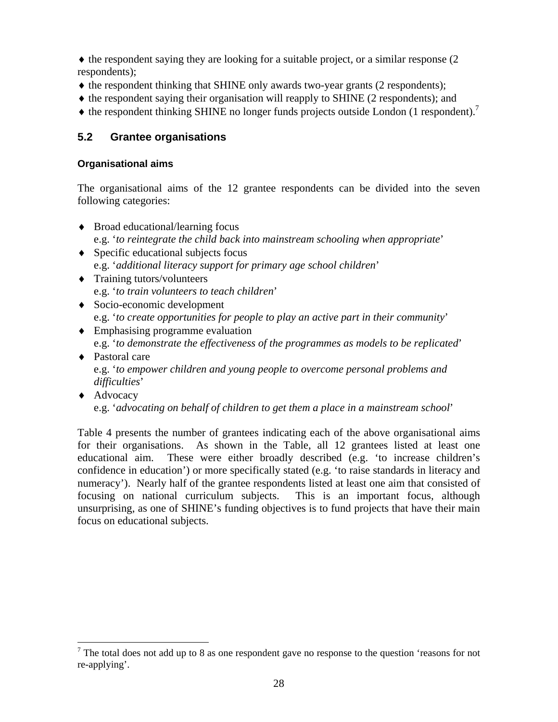♦ the respondent saying they are looking for a suitable project*,* or a similar response (2 respondents);

- ♦ the respondent thinking that SHINE only awards two-year grants (2 respondents);
- ♦ the respondent saying their organisation will reapply to SHINE (2 respondents); and
- $\blacklozenge$  the respondent thinking SHINE no longer funds projects outside London (1 respondent).<sup>7</sup>

### **5.2 Grantee organisations**

#### **Organisational aims**

The organisational aims of the 12 grantee respondents can be divided into the seven following categories:

- ♦ Broad educational/learning focus e.g. '*to reintegrate the child back into mainstream schooling when appropriate*'
- ♦ Specific educational subjects focus e.g. '*additional literacy support for primary age school children*'
- ♦ Training tutors/volunteers e.g. '*to train volunteers to teach children*'
- ♦ Socio-economic development e.g. '*to create opportunities for people to play an active part in their community*'
- ♦ Emphasising programme evaluation e.g. '*to demonstrate the effectiveness of the programmes as models to be replicated*'
- ♦ Pastoral care e.g. '*to empower children and young people to overcome personal problems and difficulties*'
- ♦ Advocacy

<u>.</u>

e.g. '*advocating on behalf of children to get them a place in a mainstream school*'

Table 4 presents the number of grantees indicating each of the above organisational aims for their organisations. As shown in the Table, all 12 grantees listed at least one educational aim. These were either broadly described (e.g. 'to increase children's confidence in education') or more specifically stated (e.g. 'to raise standards in literacy and numeracy'). Nearly half of the grantee respondents listed at least one aim that consisted of focusing on national curriculum subjects. This is an important focus, although unsurprising, as one of SHINE's funding objectives is to fund projects that have their main focus on educational subjects.

 $<sup>7</sup>$  The total does not add up to 8 as one respondent gave no response to the question 'reasons for not</sup> re-applying'.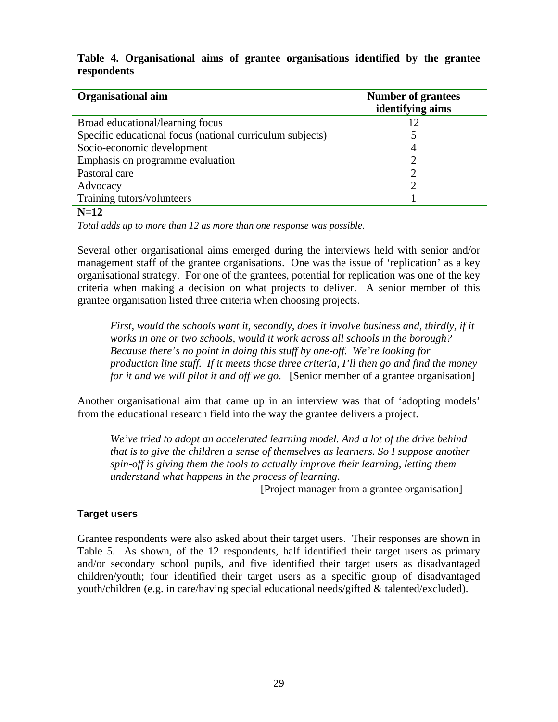| <b>Organisational aim</b>                                 | <b>Number of grantees</b><br>identifying aims |
|-----------------------------------------------------------|-----------------------------------------------|
| Broad educational/learning focus                          | 12                                            |
| Specific educational focus (national curriculum subjects) |                                               |
| Socio-economic development                                | 4                                             |
| Emphasis on programme evaluation                          | 2                                             |
| Pastoral care                                             |                                               |
| Advocacy                                                  | ി                                             |
| Training tutors/volunteers                                |                                               |
| $N=12$                                                    |                                               |

**Table 4. Organisational aims of grantee organisations identified by the grantee respondents** 

*Total adds up to more than 12 as more than one response was possible*.

Several other organisational aims emerged during the interviews held with senior and/or management staff of the grantee organisations. One was the issue of 'replication' as a key organisational strategy. For one of the grantees, potential for replication was one of the key criteria when making a decision on what projects to deliver. A senior member of this grantee organisation listed three criteria when choosing projects.

*First, would the schools want it, secondly, does it involve business and, thirdly, if it works in one or two schools, would it work across all schools in the borough? Because there's no point in doing this stuff by one-off. We're looking for production line stuff. If it meets those three criteria, I'll then go and find the money for it and we will pilot it and off we go*. [Senior member of a grantee organisation]

Another organisational aim that came up in an interview was that of 'adopting models' from the educational research field into the way the grantee delivers a project.

*We've tried to adopt an accelerated learning model. And a lot of the drive behind that is to give the children a sense of themselves as learners. So I suppose another spin-off is giving them the tools to actually improve their learning, letting them understand what happens in the process of learning*.

[Project manager from a grantee organisation]

#### **Target users**

Grantee respondents were also asked about their target users. Their responses are shown in Table 5. As shown, of the 12 respondents, half identified their target users as primary and/or secondary school pupils, and five identified their target users as disadvantaged children/youth; four identified their target users as a specific group of disadvantaged youth/children (e.g. in care/having special educational needs/gifted & talented/excluded).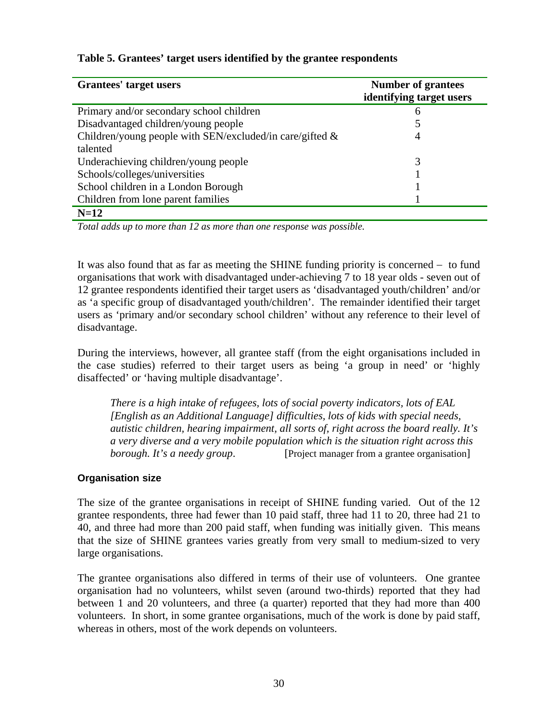| Grantees' target users                                      | <b>Number of grantees</b><br>identifying target users |
|-------------------------------------------------------------|-------------------------------------------------------|
| Primary and/or secondary school children                    | 6                                                     |
| Disadvantaged children/young people                         |                                                       |
| Children/young people with SEN/excluded/in care/gifted $\&$ | 4                                                     |
| talented                                                    |                                                       |
| Underachieving children/young people                        | 3                                                     |
| Schools/colleges/universities                               |                                                       |
| School children in a London Borough                         |                                                       |
| Children from lone parent families                          |                                                       |
| $N=12$                                                      |                                                       |

#### **Table 5. Grantees' target users identified by the grantee respondents**

*Total adds up to more than 12 as more than one response was possible.* 

It was also found that as far as meeting the SHINE funding priority is concerned − to fund organisations that work with disadvantaged under-achieving 7 to 18 year olds - seven out of 12 grantee respondents identified their target users as 'disadvantaged youth/children' and/or as 'a specific group of disadvantaged youth/children'. The remainder identified their target users as 'primary and/or secondary school children' without any reference to their level of disadvantage.

During the interviews, however, all grantee staff (from the eight organisations included in the case studies) referred to their target users as being 'a group in need' or 'highly disaffected' or 'having multiple disadvantage'.

*There is a high intake of refugees, lots of social poverty indicators, lots of EAL [English as an Additional Language] difficulties, lots of kids with special needs, autistic children, hearing impairment, all sorts of, right across the board really. It's a very diverse and a very mobile population which is the situation right across this borough. It's a needy group.* [Project manager from a grantee organisation]

#### **Organisation size**

The size of the grantee organisations in receipt of SHINE funding varied. Out of the 12 grantee respondents, three had fewer than 10 paid staff, three had 11 to 20, three had 21 to 40, and three had more than 200 paid staff, when funding was initially given. This means that the size of SHINE grantees varies greatly from very small to medium-sized to very large organisations.

The grantee organisations also differed in terms of their use of volunteers. One grantee organisation had no volunteers, whilst seven (around two-thirds) reported that they had between 1 and 20 volunteers, and three (a quarter) reported that they had more than 400 volunteers. In short, in some grantee organisations, much of the work is done by paid staff, whereas in others, most of the work depends on volunteers.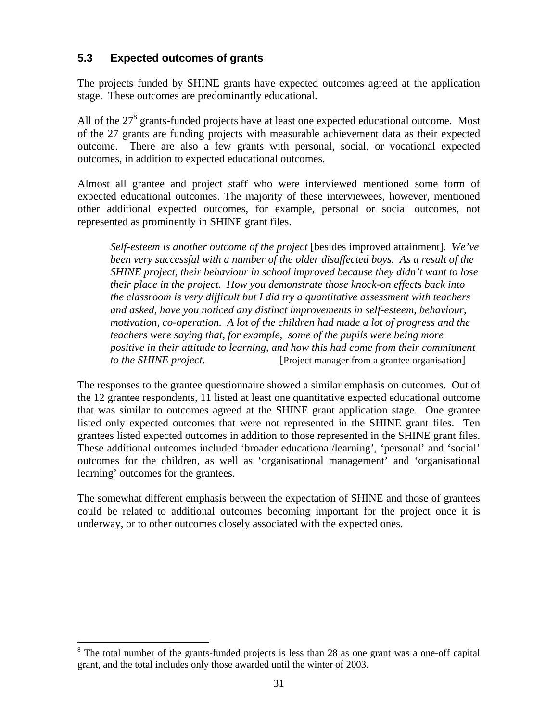# **5.3 Expected outcomes of grants**

The projects funded by SHINE grants have expected outcomes agreed at the application stage. These outcomes are predominantly educational.

All of the  $27<sup>8</sup>$  grants-funded projects have at least one expected educational outcome. Most of the 27 grants are funding projects with measurable achievement data as their expected outcome. There are also a few grants with personal, social, or vocational expected outcomes, in addition to expected educational outcomes.

Almost all grantee and project staff who were interviewed mentioned some form of expected educational outcomes. The majority of these interviewees, however, mentioned other additional expected outcomes, for example, personal or social outcomes, not represented as prominently in SHINE grant files.

*Self-esteem is another outcome of the project* [besides improved attainment]. *We've been very successful with a number of the older disaffected boys. As a result of the SHINE project, their behaviour in school improved because they didn't want to lose their place in the project. How you demonstrate those knock-on effects back into the classroom is very difficult but I did try a quantitative assessment with teachers and asked, have you noticed any distinct improvements in self-esteem, behaviour, motivation, co-operation. A lot of the children had made a lot of progress and the teachers were saying that, for example, some of the pupils were being more positive in their attitude to learning, and how this had come from their commitment to the SHINE project*. [Project manager from a grantee organisation]

The responses to the grantee questionnaire showed a similar emphasis on outcomes. Out of the 12 grantee respondents, 11 listed at least one quantitative expected educational outcome that was similar to outcomes agreed at the SHINE grant application stage. One grantee listed only expected outcomes that were not represented in the SHINE grant files. Ten grantees listed expected outcomes in addition to those represented in the SHINE grant files. These additional outcomes included 'broader educational/learning', 'personal' and 'social' outcomes for the children, as well as 'organisational management' and 'organisational learning' outcomes for the grantees.

The somewhat different emphasis between the expectation of SHINE and those of grantees could be related to additional outcomes becoming important for the project once it is underway, or to other outcomes closely associated with the expected ones.

<u>.</u>

<sup>&</sup>lt;sup>8</sup> The total number of the grants-funded projects is less than 28 as one grant was a one-off capital grant, and the total includes only those awarded until the winter of 2003.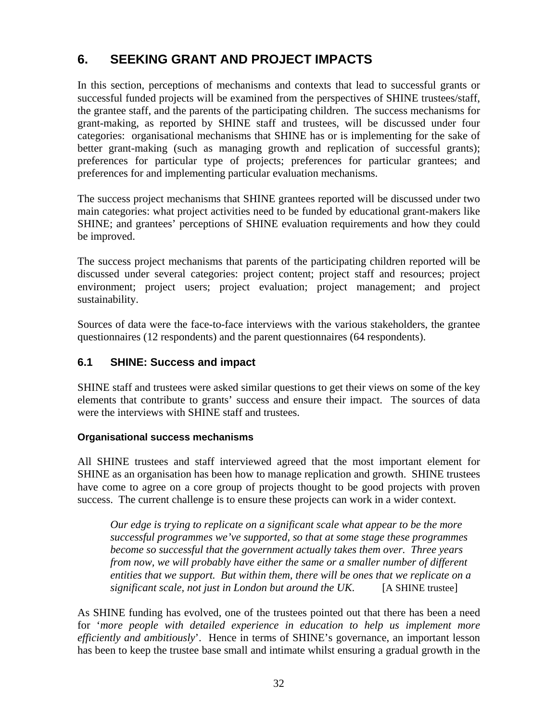# **6. SEEKING GRANT AND PROJECT IMPACTS**

In this section, perceptions of mechanisms and contexts that lead to successful grants or successful funded projects will be examined from the perspectives of SHINE trustees/staff, the grantee staff, and the parents of the participating children. The success mechanisms for grant-making, as reported by SHINE staff and trustees, will be discussed under four categories: organisational mechanisms that SHINE has or is implementing for the sake of better grant-making (such as managing growth and replication of successful grants); preferences for particular type of projects; preferences for particular grantees; and preferences for and implementing particular evaluation mechanisms.

The success project mechanisms that SHINE grantees reported will be discussed under two main categories: what project activities need to be funded by educational grant-makers like SHINE; and grantees' perceptions of SHINE evaluation requirements and how they could be improved.

The success project mechanisms that parents of the participating children reported will be discussed under several categories: project content; project staff and resources; project environment; project users; project evaluation; project management; and project sustainability.

Sources of data were the face-to-face interviews with the various stakeholders, the grantee questionnaires (12 respondents) and the parent questionnaires (64 respondents).

# **6.1 SHINE: Success and impact**

SHINE staff and trustees were asked similar questions to get their views on some of the key elements that contribute to grants' success and ensure their impact. The sources of data were the interviews with SHINE staff and trustees.

#### **Organisational success mechanisms**

All SHINE trustees and staff interviewed agreed that the most important element for SHINE as an organisation has been how to manage replication and growth. SHINE trustees have come to agree on a core group of projects thought to be good projects with proven success. The current challenge is to ensure these projects can work in a wider context.

*Our edge is trying to replicate on a significant scale what appear to be the more successful programmes we've supported, so that at some stage these programmes become so successful that the government actually takes them over. Three years from now, we will probably have either the same or a smaller number of different entities that we support. But within them, there will be ones that we replicate on a significant scale, not just in London but around the UK.* [A SHINE trustee]

As SHINE funding has evolved, one of the trustees pointed out that there has been a need for '*more people with detailed experience in education to help us implement more efficiently and ambitiously*'. Hence in terms of SHINE's governance, an important lesson has been to keep the trustee base small and intimate whilst ensuring a gradual growth in the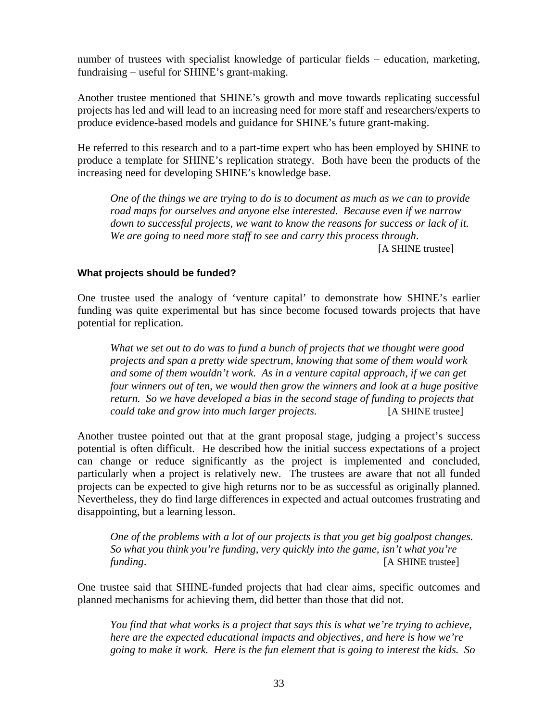number of trustees with specialist knowledge of particular fields – education, marketing, fundraising − useful for SHINE's grant-making.

Another trustee mentioned that SHINE's growth and move towards replicating successful projects has led and will lead to an increasing need for more staff and researchers/experts to produce evidence-based models and guidance for SHINE's future grant-making.

He referred to this research and to a part-time expert who has been employed by SHINE to produce a template for SHINE's replication strategy. Both have been the products of the increasing need for developing SHINE's knowledge base.

*One of the things we are trying to do is to document as much as we can to provide road maps for ourselves and anyone else interested. Because even if we narrow down to successful projects, we want to know the reasons for success or lack of it. We are going to need more staff to see and carry this process through*.

[A SHINE trustee]

#### **What projects should be funded?**

One trustee used the analogy of 'venture capital' to demonstrate how SHINE's earlier funding was quite experimental but has since become focused towards projects that have potential for replication.

*What we set out to do was to fund a bunch of projects that we thought were good projects and span a pretty wide spectrum, knowing that some of them would work and some of them wouldn't work. As in a venture capital approach, if we can get*  four winners out of ten, we would then grow the winners and look at a huge positive *return. So we have developed a bias in the second stage of funding to projects that could take and grow into much larger projects*. [A SHINE trustee]

Another trustee pointed out that at the grant proposal stage, judging a project's success potential is often difficult. He described how the initial success expectations of a project can change or reduce significantly as the project is implemented and concluded, particularly when a project is relatively new. The trustees are aware that not all funded projects can be expected to give high returns nor to be as successful as originally planned. Nevertheless, they do find large differences in expected and actual outcomes frustrating and disappointing, but a learning lesson.

*One of the problems with a lot of our projects is that you get big goalpost changes. So what you think you're funding, very quickly into the game, isn't what you're funding*. [A SHINE trustee]

One trustee said that SHINE-funded projects that had clear aims, specific outcomes and planned mechanisms for achieving them, did better than those that did not.

*You find that what works is a project that says this is what we're trying to achieve, here are the expected educational impacts and objectives, and here is how we're going to make it work. Here is the fun element that is going to interest the kids. So*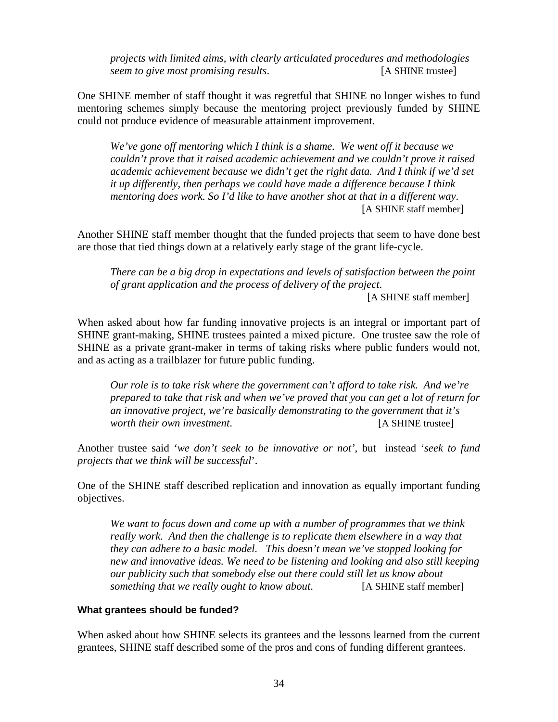*projects with limited aims, with clearly articulated procedures and methodologies seem to give most promising results*. [A SHINE trustee]

One SHINE member of staff thought it was regretful that SHINE no longer wishes to fund mentoring schemes simply because the mentoring project previously funded by SHINE could not produce evidence of measurable attainment improvement.

*We've gone off mentoring which I think is a shame. We went off it because we couldn't prove that it raised academic achievement and we couldn't prove it raised academic achievement because we didn't get the right data. And I think if we'd set it up differently, then perhaps we could have made a difference because I think mentoring does work. So I'd like to have another shot at that in a different way*. [A SHINE staff member]

Another SHINE staff member thought that the funded projects that seem to have done best are those that tied things down at a relatively early stage of the grant life-cycle.

*There can be a big drop in expectations and levels of satisfaction between the point of grant application and the process of delivery of the project*.

[A SHINE staff member]

When asked about how far funding innovative projects is an integral or important part of SHINE grant-making, SHINE trustees painted a mixed picture. One trustee saw the role of SHINE as a private grant-maker in terms of taking risks where public funders would not, and as acting as a trailblazer for future public funding.

*Our role is to take risk where the government can't afford to take risk. And we're prepared to take that risk and when we've proved that you can get a lot of return for an innovative project, we're basically demonstrating to the government that it's worth their own investment*. [A SHINE trustee]

Another trustee said '*we don't seek to be innovative or not'*, but instead '*seek to fund projects that we think will be successful*'.

One of the SHINE staff described replication and innovation as equally important funding objectives.

*We want to focus down and come up with a number of programmes that we think really work. And then the challenge is to replicate them elsewhere in a way that they can adhere to a basic model. This doesn't mean we've stopped looking for new and innovative ideas. We need to be listening and looking and also still keeping our publicity such that somebody else out there could still let us know about something that we really ought to know about*. [A SHINE staff member]

#### **What grantees should be funded?**

When asked about how SHINE selects its grantees and the lessons learned from the current grantees, SHINE staff described some of the pros and cons of funding different grantees.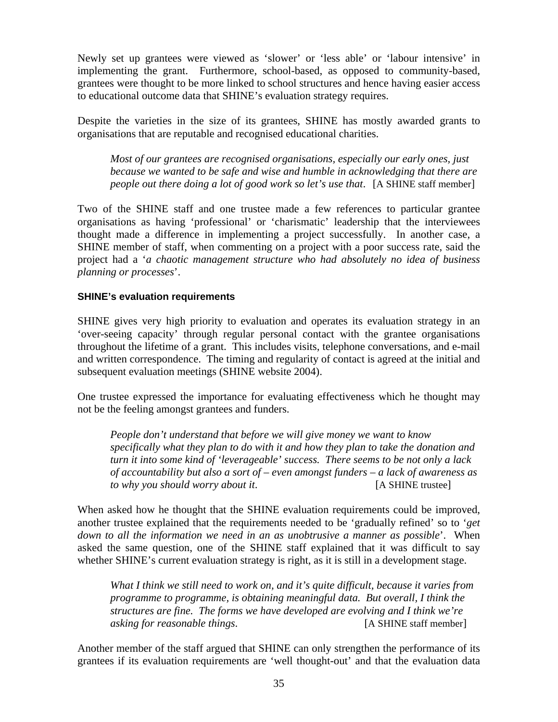Newly set up grantees were viewed as 'slower' or 'less able' or 'labour intensive' in implementing the grant. Furthermore, school-based, as opposed to community-based, grantees were thought to be more linked to school structures and hence having easier access to educational outcome data that SHINE's evaluation strategy requires.

Despite the varieties in the size of its grantees, SHINE has mostly awarded grants to organisations that are reputable and recognised educational charities.

*Most of our grantees are recognised organisations, especially our early ones, just because we wanted to be safe and wise and humble in acknowledging that there are people out there doing a lot of good work so let's use that*. [A SHINE staff member]

Two of the SHINE staff and one trustee made a few references to particular grantee organisations as having 'professional' or 'charismatic' leadership that the interviewees thought made a difference in implementing a project successfully. In another case, a SHINE member of staff, when commenting on a project with a poor success rate, said the project had a '*a chaotic management structure who had absolutely no idea of business planning or processes*'.

#### **SHINE's evaluation requirements**

SHINE gives very high priority to evaluation and operates its evaluation strategy in an 'over-seeing capacity' through regular personal contact with the grantee organisations throughout the lifetime of a grant. This includes visits, telephone conversations, and e-mail and written correspondence. The timing and regularity of contact is agreed at the initial and subsequent evaluation meetings (SHINE website 2004).

One trustee expressed the importance for evaluating effectiveness which he thought may not be the feeling amongst grantees and funders.

*People don't understand that before we will give money we want to know specifically what they plan to do with it and how they plan to take the donation and turn it into some kind of 'leverageable' success. There seems to be not only a lack of accountability but also a sort of – even amongst funders – a lack of awareness as to why you should worry about it*. [A SHINE trustee]

When asked how he thought that the SHINE evaluation requirements could be improved, another trustee explained that the requirements needed to be 'gradually refined' so to '*get down to all the information we need in an as unobtrusive a manner as possible*'. When asked the same question, one of the SHINE staff explained that it was difficult to say whether SHINE's current evaluation strategy is right, as it is still in a development stage.

*What I think we still need to work on, and it's quite difficult, because it varies from programme to programme, is obtaining meaningful data. But overall, I think the structures are fine. The forms we have developed are evolving and I think we're asking for reasonable things*. [A SHINE staff member]

Another member of the staff argued that SHINE can only strengthen the performance of its grantees if its evaluation requirements are 'well thought-out' and that the evaluation data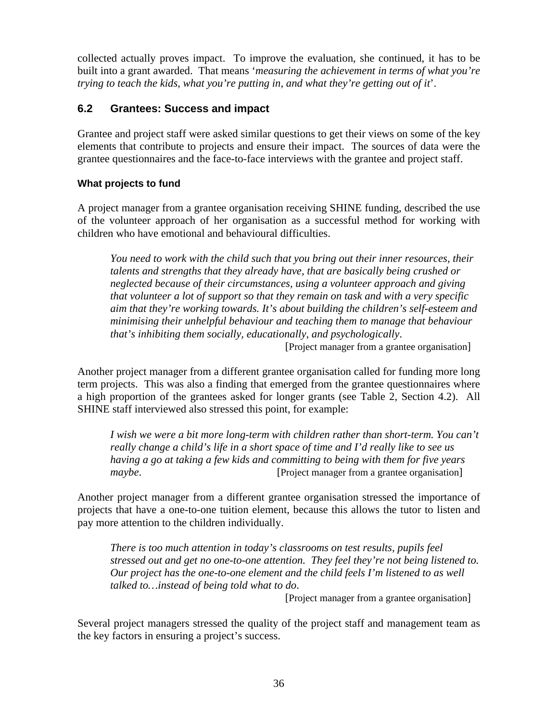collected actually proves impact. To improve the evaluation, she continued, it has to be built into a grant awarded. That means '*measuring the achievement in terms of what you're trying to teach the kids, what you're putting in, and what they're getting out of it*'.

# **6.2 Grantees: Success and impact**

Grantee and project staff were asked similar questions to get their views on some of the key elements that contribute to projects and ensure their impact. The sources of data were the grantee questionnaires and the face-to-face interviews with the grantee and project staff.

### **What projects to fund**

A project manager from a grantee organisation receiving SHINE funding, described the use of the volunteer approach of her organisation as a successful method for working with children who have emotional and behavioural difficulties.

*You need to work with the child such that you bring out their inner resources, their talents and strengths that they already have, that are basically being crushed or neglected because of their circumstances, using a volunteer approach and giving that volunteer a lot of support so that they remain on task and with a very specific aim that they're working towards. It's about building the children's self-esteem and minimising their unhelpful behaviour and teaching them to manage that behaviour that's inhibiting them socially, educationally, and psychologically*.

[Project manager from a grantee organisation]

Another project manager from a different grantee organisation called for funding more long term projects. This was also a finding that emerged from the grantee questionnaires where a high proportion of the grantees asked for longer grants (see Table 2, Section 4.2). All SHINE staff interviewed also stressed this point, for example:

*I wish we were a bit more long-term with children rather than short-term. You can't really change a child's life in a short space of time and I'd really like to see us having a go at taking a few kids and committing to being with them for five years maybe*. *maybe project manager from a grantee organisation* 

Another project manager from a different grantee organisation stressed the importance of projects that have a one-to-one tuition element, because this allows the tutor to listen and pay more attention to the children individually.

*There is too much attention in today's classrooms on test results, pupils feel stressed out and get no one-to-one attention. They feel they're not being listened to. Our project has the one-to-one element and the child feels I'm listened to as well talked to…instead of being told what to do*.

[Project manager from a grantee organisation]

Several project managers stressed the quality of the project staff and management team as the key factors in ensuring a project's success.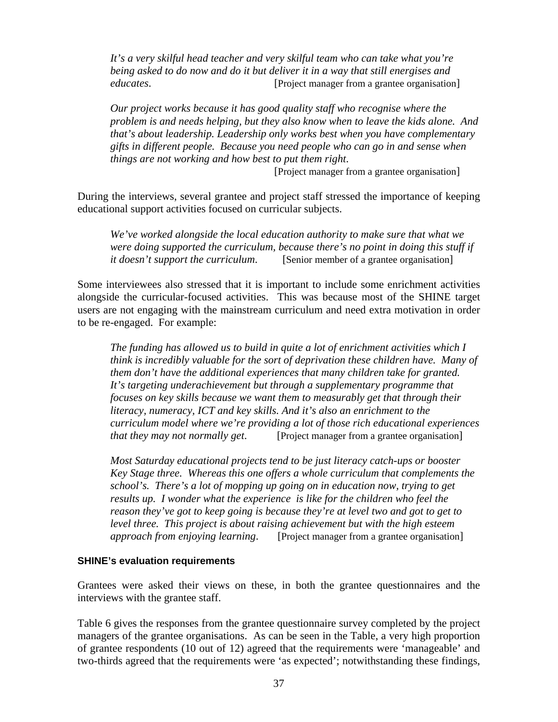*It's a very skilful head teacher and very skilful team who can take what you're being asked to do now and do it but deliver it in a way that still energises and educates*. [Project manager from a grantee organisation]

*Our project works because it has good quality staff who recognise where the problem is and needs helping, but they also know when to leave the kids alone. And that's about leadership. Leadership only works best when you have complementary gifts in different people. Because you need people who can go in and sense when things are not working and how best to put them right*.

[Project manager from a grantee organisation]

During the interviews, several grantee and project staff stressed the importance of keeping educational support activities focused on curricular subjects.

*We've worked alongside the local education authority to make sure that what we were doing supported the curriculum, because there's no point in doing this stuff if it doesn't support the curriculum.* [Senior member of a grantee organisation]

Some interviewees also stressed that it is important to include some enrichment activities alongside the curricular-focused activities. This was because most of the SHINE target users are not engaging with the mainstream curriculum and need extra motivation in order to be re-engaged. For example:

*The funding has allowed us to build in quite a lot of enrichment activities which I think is incredibly valuable for the sort of deprivation these children have. Many of them don't have the additional experiences that many children take for granted. It's targeting underachievement but through a supplementary programme that focuses on key skills because we want them to measurably get that through their literacy, numeracy, ICT and key skills. And it's also an enrichment to the curriculum model where we're providing a lot of those rich educational experiences that they may not normally get*. [Project manager from a grantee organisation]

*Most Saturday educational projects tend to be just literacy catch-ups or booster Key Stage three. Whereas this one offers a whole curriculum that complements the school's. There's a lot of mopping up going on in education now, trying to get results up. I wonder what the experience is like for the children who feel the reason they've got to keep going is because they're at level two and got to get to level three. This project is about raising achievement but with the high esteem approach from enjoying learning.* [Project manager from a grantee organisation]

#### **SHINE's evaluation requirements**

Grantees were asked their views on these, in both the grantee questionnaires and the interviews with the grantee staff.

Table 6 gives the responses from the grantee questionnaire survey completed by the project managers of the grantee organisations. As can be seen in the Table, a very high proportion of grantee respondents (10 out of 12) agreed that the requirements were 'manageable' and two-thirds agreed that the requirements were 'as expected'; notwithstanding these findings,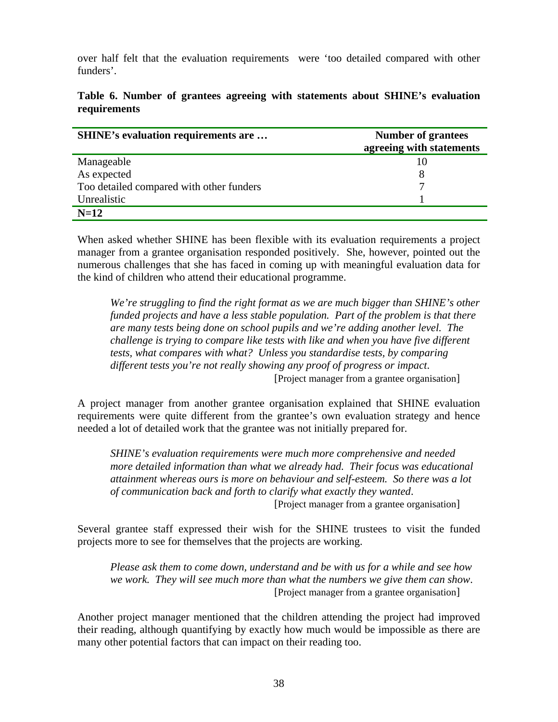over half felt that the evaluation requirements were 'too detailed compared with other funders'.

| SHINE's evaluation requirements are      | <b>Number of grantees</b><br>agreeing with statements |
|------------------------------------------|-------------------------------------------------------|
| Manageable                               |                                                       |
| As expected                              |                                                       |
| Too detailed compared with other funders |                                                       |
| Unrealistic                              |                                                       |
| $N=12$                                   |                                                       |

#### **Table 6. Number of grantees agreeing with statements about SHINE's evaluation requirements**

When asked whether SHINE has been flexible with its evaluation requirements a project manager from a grantee organisation responded positively. She, however, pointed out the numerous challenges that she has faced in coming up with meaningful evaluation data for the kind of children who attend their educational programme.

*We're struggling to find the right format as we are much bigger than SHINE's other funded projects and have a less stable population. Part of the problem is that there are many tests being done on school pupils and we're adding another level. The challenge is trying to compare like tests with like and when you have five different tests, what compares with what? Unless you standardise tests, by comparing different tests you're not really showing any proof of progress or impact*. [Project manager from a grantee organisation]

A project manager from another grantee organisation explained that SHINE evaluation requirements were quite different from the grantee's own evaluation strategy and hence needed a lot of detailed work that the grantee was not initially prepared for.

*SHINE's evaluation requirements were much more comprehensive and needed more detailed information than what we already had. Their focus was educational attainment whereas ours is more on behaviour and self-esteem. So there was a lot of communication back and forth to clarify what exactly they wanted*.

[Project manager from a grantee organisation]

Several grantee staff expressed their wish for the SHINE trustees to visit the funded projects more to see for themselves that the projects are working.

*Please ask them to come down, understand and be with us for a while and see how we work. They will see much more than what the numbers we give them can show*. [Project manager from a grantee organisation]

Another project manager mentioned that the children attending the project had improved their reading, although quantifying by exactly how much would be impossible as there are many other potential factors that can impact on their reading too.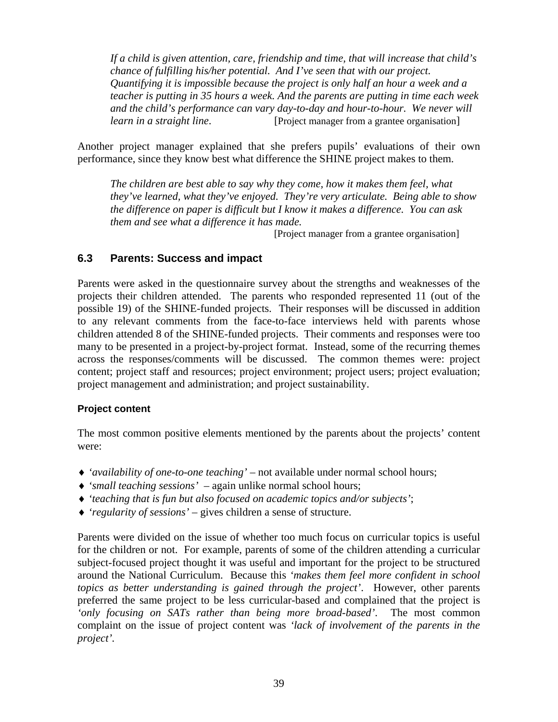*If a child is given attention, care, friendship and time, that will increase that child's chance of fulfilling his/her potential. And I've seen that with our project. Quantifying it is impossible because the project is only half an hour a week and a teacher is putting in 35 hours a week. And the parents are putting in time each week and the child's performance can vary day-to-day and hour-to-hour. We never will learn in a straight line.* [Project manager from a grantee organisation]

Another project manager explained that she prefers pupils' evaluations of their own performance, since they know best what difference the SHINE project makes to them.

*The children are best able to say why they come, how it makes them feel, what they've learned, what they've enjoyed. They're very articulate. Being able to show the difference on paper is difficult but I know it makes a difference. You can ask them and see what a difference it has made.* 

[Project manager from a grantee organisation]

### **6.3 Parents: Success and impact**

Parents were asked in the questionnaire survey about the strengths and weaknesses of the projects their children attended. The parents who responded represented 11 (out of the possible 19) of the SHINE-funded projects. Their responses will be discussed in addition to any relevant comments from the face-to-face interviews held with parents whose children attended 8 of the SHINE-funded projects. Their comments and responses were too many to be presented in a project-by-project format. Instead, some of the recurring themes across the responses/comments will be discussed. The common themes were: project content; project staff and resources; project environment; project users; project evaluation; project management and administration; and project sustainability.

#### **Project content**

The most common positive elements mentioned by the parents about the projects' content were:

- ♦ *'availability of one-to-one teaching'* not available under normal school hours;
- ♦ *'small teaching sessions'*  again unlike normal school hours;
- ♦ *'teaching that is fun but also focused on academic topics and/or subjects'*;
- ♦ *'regularity of sessions'* gives children a sense of structure.

Parents were divided on the issue of whether too much focus on curricular topics is useful for the children or not. For example, parents of some of the children attending a curricular subject-focused project thought it was useful and important for the project to be structured around the National Curriculum. Because this *'makes them feel more confident in school topics as better understanding is gained through the project'*. However, other parents preferred the same project to be less curricular-based and complained that the project is *'only focusing on SATs rather than being more broad-based'*. The most common complaint on the issue of project content was *'lack of involvement of the parents in the project'.*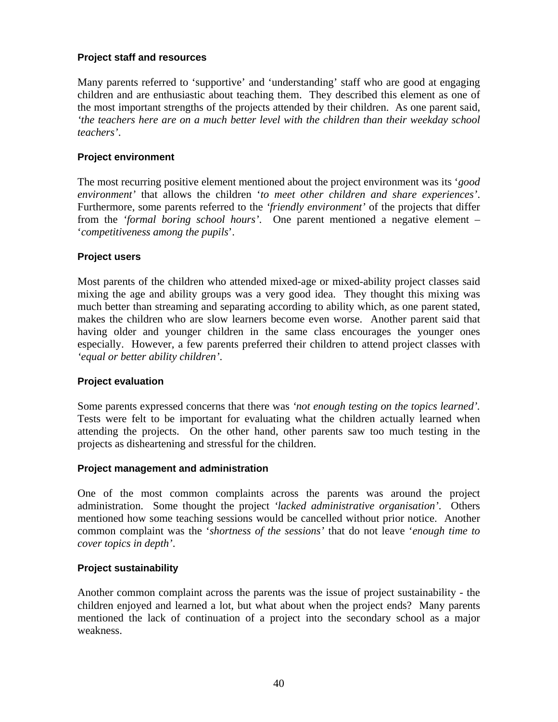#### **Project staff and resources**

Many parents referred to 'supportive' and 'understanding' staff who are good at engaging children and are enthusiastic about teaching them. They described this element as one of the most important strengths of the projects attended by their children. As one parent said, *'the teachers here are on a much better level with the children than their weekday school teachers'*.

#### **Project environment**

The most recurring positive element mentioned about the project environment was its '*good environment'* that allows the children '*to meet other children and share experiences'*. Furthermore, some parents referred to the *'friendly environment'* of the projects that differ from the *'formal boring school hours'*. One parent mentioned a negative element – '*competitiveness among the pupils*'.

#### **Project users**

Most parents of the children who attended mixed-age or mixed-ability project classes said mixing the age and ability groups was a very good idea. They thought this mixing was much better than streaming and separating according to ability which, as one parent stated, makes the children who are slow learners become even worse. Another parent said that having older and younger children in the same class encourages the younger ones especially. However, a few parents preferred their children to attend project classes with *'equal or better ability children'*.

#### **Project evaluation**

Some parents expressed concerns that there was *'not enough testing on the topics learned'.*  Tests were felt to be important for evaluating what the children actually learned when attending the projects. On the other hand, other parents saw too much testing in the projects as disheartening and stressful for the children.

#### **Project management and administration**

One of the most common complaints across the parents was around the project administration. Some thought the project *'lacked administrative organisation'*. Others mentioned how some teaching sessions would be cancelled without prior notice. Another common complaint was the '*shortness of the sessions'* that do not leave '*enough time to cover topics in depth'*.

#### **Project sustainability**

Another common complaint across the parents was the issue of project sustainability - the children enjoyed and learned a lot, but what about when the project ends? Many parents mentioned the lack of continuation of a project into the secondary school as a major weakness.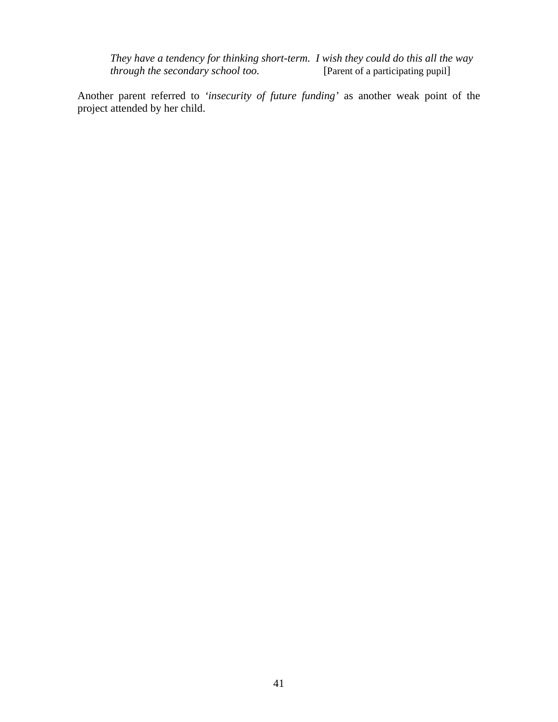*They have a tendency for thinking short-term. I wish they could do this all the way through the secondary school too.* [Parent of a participating pupil] *through the secondary school too.* 

Another parent referred to *'insecurity of future funding'* as another weak point of the project attended by her child.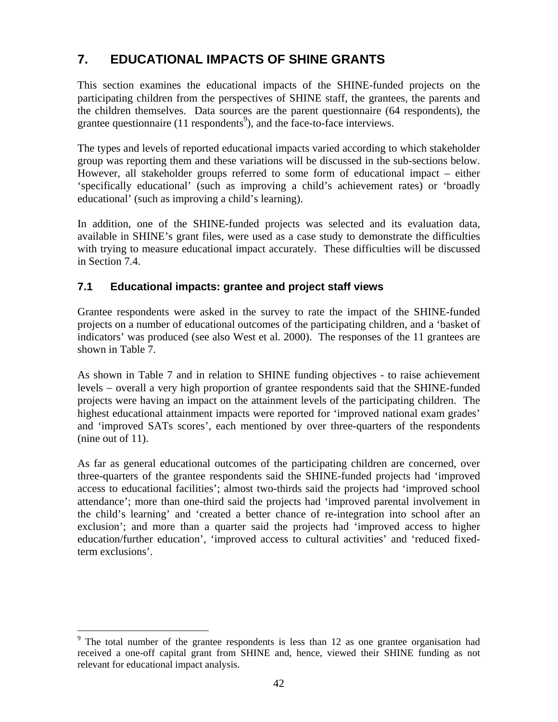# **7. EDUCATIONAL IMPACTS OF SHINE GRANTS**

This section examines the educational impacts of the SHINE-funded projects on the participating children from the perspectives of SHINE staff, the grantees, the parents and the children themselves. Data sources are the parent questionnaire (64 respondents), the grantee questionnaire (11 respondents<sup>9</sup>), and the face-to-face interviews.

The types and levels of reported educational impacts varied according to which stakeholder group was reporting them and these variations will be discussed in the sub-sections below. However, all stakeholder groups referred to some form of educational impact – either 'specifically educational' (such as improving a child's achievement rates) or 'broadly educational' (such as improving a child's learning).

In addition, one of the SHINE-funded projects was selected and its evaluation data, available in SHINE's grant files, were used as a case study to demonstrate the difficulties with trying to measure educational impact accurately. These difficulties will be discussed in Section 7.4.

# **7.1 Educational impacts: grantee and project staff views**

Grantee respondents were asked in the survey to rate the impact of the SHINE-funded projects on a number of educational outcomes of the participating children, and a 'basket of indicators' was produced (see also West et al. 2000). The responses of the 11 grantees are shown in Table 7.

As shown in Table 7 and in relation to SHINE funding objectives - to raise achievement levels − overall a very high proportion of grantee respondents said that the SHINE-funded projects were having an impact on the attainment levels of the participating children. The highest educational attainment impacts were reported for 'improved national exam grades' and 'improved SATs scores', each mentioned by over three-quarters of the respondents (nine out of 11).

As far as general educational outcomes of the participating children are concerned, over three-quarters of the grantee respondents said the SHINE-funded projects had 'improved access to educational facilities'; almost two-thirds said the projects had 'improved school attendance'; more than one-third said the projects had 'improved parental involvement in the child's learning' and 'created a better chance of re-integration into school after an exclusion'; and more than a quarter said the projects had 'improved access to higher education/further education', 'improved access to cultural activities' and 'reduced fixedterm exclusions'.

<sup>1</sup>  $9$  The total number of the grantee respondents is less than 12 as one grantee organisation had received a one-off capital grant from SHINE and, hence, viewed their SHINE funding as not relevant for educational impact analysis.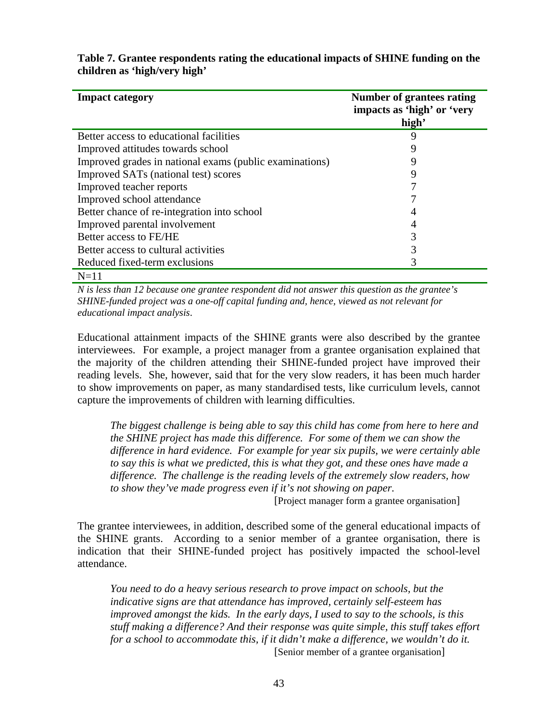| <b>Impact category</b>                                  | <b>Number of grantees rating</b><br>impacts as 'high' or 'very<br>high' |
|---------------------------------------------------------|-------------------------------------------------------------------------|
| Better access to educational facilities                 | q                                                                       |
| Improved attitudes towards school                       |                                                                         |
| Improved grades in national exams (public examinations) | Q                                                                       |
| Improved SATs (national test) scores                    | 9                                                                       |
| Improved teacher reports                                |                                                                         |
| Improved school attendance                              |                                                                         |
| Better chance of re-integration into school             |                                                                         |
| Improved parental involvement                           | 4                                                                       |
| Better access to FE/HE                                  | 3                                                                       |
| Better access to cultural activities                    |                                                                         |
| Reduced fixed-term exclusions                           |                                                                         |
| $N=11$                                                  |                                                                         |

**Table 7. Grantee respondents rating the educational impacts of SHINE funding on the children as 'high/very high'** 

*N is less than 12 because one grantee respondent did not answer this question as the grantee's SHINE-funded project was a one-off capital funding and, hence, viewed as not relevant for educational impact analysis*.

Educational attainment impacts of the SHINE grants were also described by the grantee interviewees. For example, a project manager from a grantee organisation explained that the majority of the children attending their SHINE-funded project have improved their reading levels. She, however, said that for the very slow readers, it has been much harder to show improvements on paper, as many standardised tests, like curriculum levels, cannot capture the improvements of children with learning difficulties.

*The biggest challenge is being able to say this child has come from here to here and the SHINE project has made this difference. For some of them we can show the difference in hard evidence. For example for year six pupils, we were certainly able to say this is what we predicted, this is what they got, and these ones have made a difference. The challenge is the reading levels of the extremely slow readers, how to show they've made progress even if it's not showing on paper.* 

[Project manager form a grantee organisation]

The grantee interviewees, in addition, described some of the general educational impacts of the SHINE grants. According to a senior member of a grantee organisation, there is indication that their SHINE-funded project has positively impacted the school-level attendance.

*You need to do a heavy serious research to prove impact on schools, but the indicative signs are that attendance has improved, certainly self-esteem has improved amongst the kids. In the early days, I used to say to the schools, is this stuff making a difference? And their response was quite simple, this stuff takes effort for a school to accommodate this, if it didn't make a difference, we wouldn't do it.*  **[Senior member of a grantee organisation]**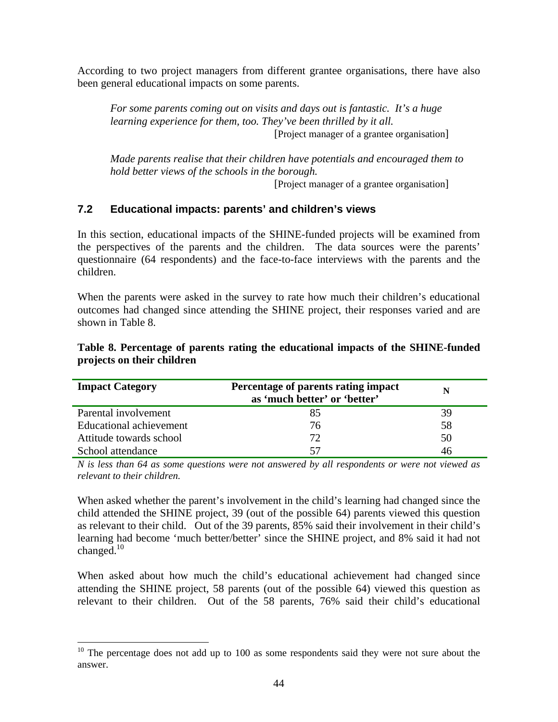According to two project managers from different grantee organisations, there have also been general educational impacts on some parents.

*For some parents coming out on visits and days out is fantastic. It's a huge learning experience for them, too. They've been thrilled by it all.*  [Project manager of a grantee organisation]

*Made parents realise that their children have potentials and encouraged them to hold better views of the schools in the borough.*

[Project manager of a grantee organisation]

### **7.2 Educational impacts: parents' and children's views**

In this section, educational impacts of the SHINE-funded projects will be examined from the perspectives of the parents and the children. The data sources were the parents' questionnaire (64 respondents) and the face-to-face interviews with the parents and the children.

When the parents were asked in the survey to rate how much their children's educational outcomes had changed since attending the SHINE project, their responses varied and are shown in Table 8.

| <b>Impact Category</b>  | Percentage of parents rating impact<br>as 'much better' or 'better' | N  |
|-------------------------|---------------------------------------------------------------------|----|
| Parental involvement    | 85                                                                  | 39 |
| Educational achievement | 76                                                                  | 58 |
| Attitude towards school | 72                                                                  | 50 |
| School attendance       |                                                                     | 46 |

#### **Table 8. Percentage of parents rating the educational impacts of the SHINE-funded projects on their children**

*N is less than 64 as some questions were not answered by all respondents or were not viewed as relevant to their children.*

When asked whether the parent's involvement in the child's learning had changed since the child attended the SHINE project, 39 (out of the possible 64) parents viewed this question as relevant to their child. Out of the 39 parents, 85% said their involvement in their child's learning had become 'much better/better' since the SHINE project, and 8% said it had not changed. $10$ 

When asked about how much the child's educational achievement had changed since attending the SHINE project, 58 parents (out of the possible 64) viewed this question as relevant to their children. Out of the 58 parents, 76% said their child's educational

<u>.</u>

 $10$  The percentage does not add up to 100 as some respondents said they were not sure about the answer.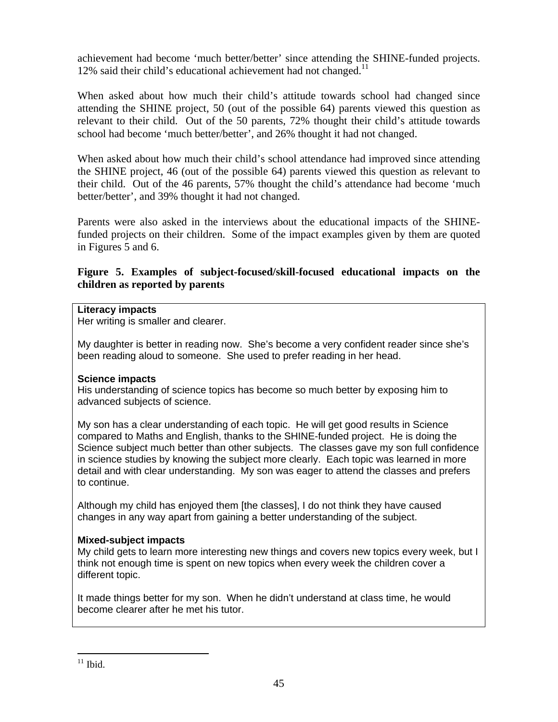achievement had become 'much better/better' since attending the SHINE-funded projects. 12% said their child's educational achievement had not changed.<sup>11</sup>

When asked about how much their child's attitude towards school had changed since attending the SHINE project, 50 (out of the possible 64) parents viewed this question as relevant to their child. Out of the 50 parents, 72% thought their child's attitude towards school had become 'much better/better', and 26% thought it had not changed.

When asked about how much their child's school attendance had improved since attending the SHINE project, 46 (out of the possible 64) parents viewed this question as relevant to their child. Out of the 46 parents, 57% thought the child's attendance had become 'much better/better', and 39% thought it had not changed.

Parents were also asked in the interviews about the educational impacts of the SHINEfunded projects on their children. Some of the impact examples given by them are quoted in Figures 5 and 6.

#### **Figure 5. Examples of subject-focused/skill-focused educational impacts on the children as reported by parents**

#### **Literacy impacts**

Her writing is smaller and clearer.

My daughter is better in reading now. She's become a very confident reader since she's been reading aloud to someone. She used to prefer reading in her head.

#### **Science impacts**

His understanding of science topics has become so much better by exposing him to advanced subjects of science.

My son has a clear understanding of each topic. He will get good results in Science compared to Maths and English, thanks to the SHINE-funded project. He is doing the Science subject much better than other subjects. The classes gave my son full confidence in science studies by knowing the subject more clearly. Each topic was learned in more detail and with clear understanding. My son was eager to attend the classes and prefers to continue.

Although my child has enjoyed them [the classes], I do not think they have caused changes in any way apart from gaining a better understanding of the subject.

#### **Mixed-subject impacts**

My child gets to learn more interesting new things and covers new topics every week, but I think not enough time is spent on new topics when every week the children cover a different topic.

It made things better for my son. When he didn't understand at class time, he would become clearer after he met his tutor.

<sup>1</sup>  $11$  Ibid.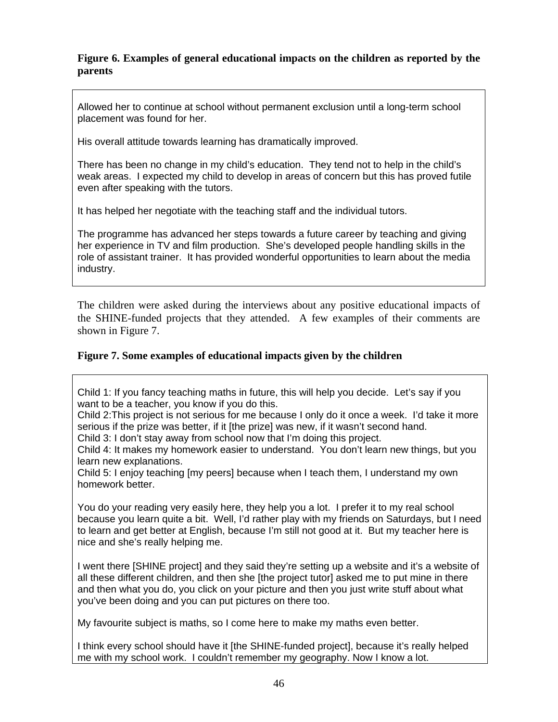#### **Figure 6. Examples of general educational impacts on the children as reported by the parents**

Allowed her to continue at school without permanent exclusion until a long-term school placement was found for her.

His overall attitude towards learning has dramatically improved.

There has been no change in my child's education. They tend not to help in the child's weak areas. I expected my child to develop in areas of concern but this has proved futile even after speaking with the tutors.

It has helped her negotiate with the teaching staff and the individual tutors.

The programme has advanced her steps towards a future career by teaching and giving her experience in TV and film production. She's developed people handling skills in the role of assistant trainer. It has provided wonderful opportunities to learn about the media industry.

The children were asked during the interviews about any positive educational impacts of the SHINE-funded projects that they attended. A few examples of their comments are shown in Figure 7.

### **Figure 7. Some examples of educational impacts given by the children**

Child 1: If you fancy teaching maths in future, this will help you decide. Let's say if you want to be a teacher, you know if you do this.

Child 2:This project is not serious for me because I only do it once a week. I'd take it more serious if the prize was better, if it [the prize] was new, if it wasn't second hand.

Child 3: I don't stay away from school now that I'm doing this project.

Child 4: It makes my homework easier to understand. You don't learn new things, but you learn new explanations.

Child 5: I enjoy teaching [my peers] because when I teach them, I understand my own homework better.

You do your reading very easily here, they help you a lot. I prefer it to my real school because you learn quite a bit. Well, I'd rather play with my friends on Saturdays, but I need to learn and get better at English, because I'm still not good at it. But my teacher here is nice and she's really helping me.

I went there [SHINE project] and they said they're setting up a website and it's a website of all these different children, and then she *[the project tutor]* asked me to put mine in there and then what you do, you click on your picture and then you just write stuff about what you've been doing and you can put pictures on there too.

My favourite subject is maths, so I come here to make my maths even better.

I think every school should have it [the SHINE-funded project], because it's really helped me with my school work. I couldn't remember my geography. Now I know a lot.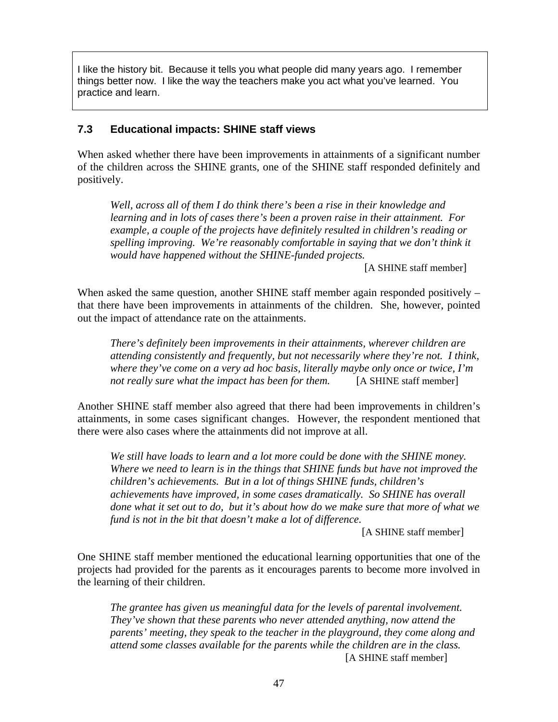I like the history bit. Because it tells you what people did many years ago. I remember things better now. I like the way the teachers make you act what you've learned. You practice and learn.

#### **7.3 Educational impacts: SHINE staff views**

When asked whether there have been improvements in attainments of a significant number of the children across the SHINE grants, one of the SHINE staff responded definitely and positively.

*Well, across all of them I do think there's been a rise in their knowledge and learning and in lots of cases there's been a proven raise in their attainment. For example, a couple of the projects have definitely resulted in children's reading or spelling improving. We're reasonably comfortable in saying that we don't think it would have happened without the SHINE-funded projects.*

[A SHINE staff member]

When asked the same question, another SHINE staff member again responded positively – that there have been improvements in attainments of the children. She, however, pointed out the impact of attendance rate on the attainments.

*There's definitely been improvements in their attainments, wherever children are attending consistently and frequently, but not necessarily where they're not. I think, where they've come on a very ad hoc basis, literally maybe only once or twice, I'm not really sure what the impact has been for them.* [A SHINE staff member]

Another SHINE staff member also agreed that there had been improvements in children's attainments, in some cases significant changes. However, the respondent mentioned that there were also cases where the attainments did not improve at all.

*We still have loads to learn and a lot more could be done with the SHINE money. Where we need to learn is in the things that SHINE funds but have not improved the children's achievements. But in a lot of things SHINE funds, children's achievements have improved, in some cases dramatically. So SHINE has overall done what it set out to do, but it's about how do we make sure that more of what we fund is not in the bit that doesn't make a lot of difference.*

[A SHINE staff member]

One SHINE staff member mentioned the educational learning opportunities that one of the projects had provided for the parents as it encourages parents to become more involved in the learning of their children.

*The grantee has given us meaningful data for the levels of parental involvement. They've shown that these parents who never attended anything, now attend the parents' meeting, they speak to the teacher in the playground, they come along and attend some classes available for the parents while the children are in the class.* [A SHINE staff member]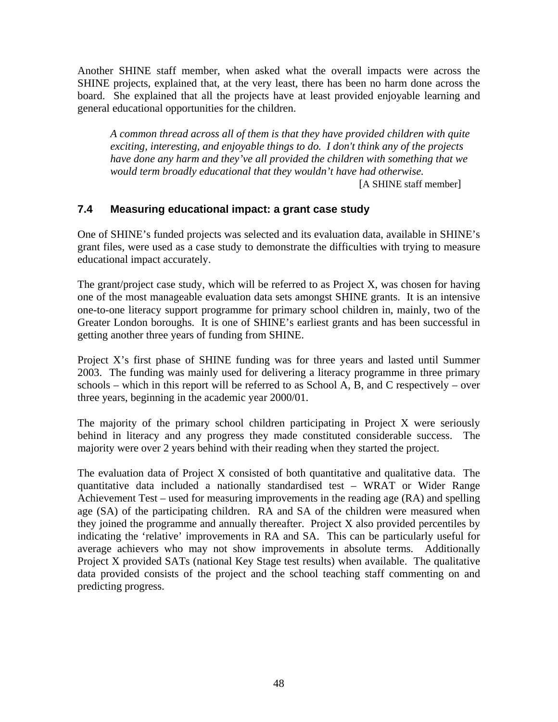Another SHINE staff member, when asked what the overall impacts were across the SHINE projects, explained that, at the very least, there has been no harm done across the board. She explained that all the projects have at least provided enjoyable learning and general educational opportunities for the children.

*A common thread across all of them is that they have provided children with quite exciting, interesting, and enjoyable things to do. I don't think any of the projects have done any harm and they've all provided the children with something that we would term broadly educational that they wouldn't have had otherwise.*

[A SHINE staff member]

### **7.4 Measuring educational impact: a grant case study**

One of SHINE's funded projects was selected and its evaluation data, available in SHINE's grant files, were used as a case study to demonstrate the difficulties with trying to measure educational impact accurately.

The grant/project case study, which will be referred to as Project X, was chosen for having one of the most manageable evaluation data sets amongst SHINE grants. It is an intensive one-to-one literacy support programme for primary school children in, mainly, two of the Greater London boroughs. It is one of SHINE's earliest grants and has been successful in getting another three years of funding from SHINE.

Project X's first phase of SHINE funding was for three years and lasted until Summer 2003. The funding was mainly used for delivering a literacy programme in three primary schools – which in this report will be referred to as School A, B, and C respectively – over three years, beginning in the academic year 2000/01.

The majority of the primary school children participating in Project X were seriously behind in literacy and any progress they made constituted considerable success. The majority were over 2 years behind with their reading when they started the project.

The evaluation data of Project X consisted of both quantitative and qualitative data. The quantitative data included a nationally standardised test – WRAT or Wider Range Achievement Test – used for measuring improvements in the reading age (RA) and spelling age (SA) of the participating children. RA and SA of the children were measured when they joined the programme and annually thereafter. Project X also provided percentiles by indicating the 'relative' improvements in RA and SA. This can be particularly useful for average achievers who may not show improvements in absolute terms. Additionally Project X provided SATs (national Key Stage test results) when available. The qualitative data provided consists of the project and the school teaching staff commenting on and predicting progress.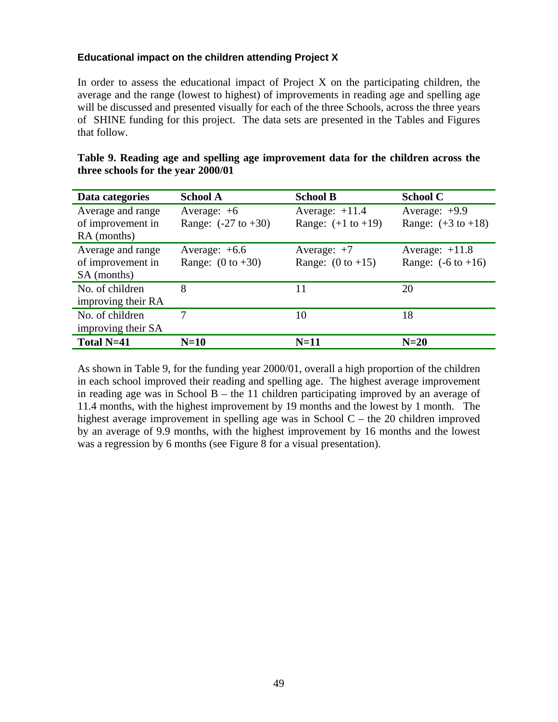#### **Educational impact on the children attending Project X**

In order to assess the educational impact of Project  $X$  on the participating children, the average and the range (lowest to highest) of improvements in reading age and spelling age will be discussed and presented visually for each of the three Schools, across the three years of SHINE funding for this project. The data sets are presented in the Tables and Figures that follow.

| Data categories    | <b>School A</b>                | <b>School B</b>               | <b>School C</b>               |
|--------------------|--------------------------------|-------------------------------|-------------------------------|
| Average and range  | Average: $+6$                  | Average: $+11.4$              | Average: $+9.9$               |
| of improvement in  | Range: $(-27 \text{ to } +30)$ | Range: $(+1 \text{ to } +19)$ | Range: $(+3 \text{ to } +18)$ |
| RA (months)        |                                |                               |                               |
| Average and range  | Average: $+6.6$                | Average: $+7$                 | Average: $+11.8$              |
| of improvement in  | Range: $(0 \text{ to } +30)$   | Range: $(0 \text{ to } +15)$  | Range: $(-6 \text{ to } +16)$ |
| SA (months)        |                                |                               |                               |
| No. of children    | 8                              | 11                            | 20                            |
| improving their RA |                                |                               |                               |
| No. of children    | 7                              | 10                            | 18                            |
| improving their SA |                                |                               |                               |
| Total N=41         | $N=10$                         | $N=11$                        | $N=20$                        |

| Table 9. Reading age and spelling age improvement data for the children across the |  |  |  |
|------------------------------------------------------------------------------------|--|--|--|
| three schools for the year 2000/01                                                 |  |  |  |

As shown in Table 9, for the funding year 2000/01, overall a high proportion of the children in each school improved their reading and spelling age. The highest average improvement in reading age was in School  $B$  – the 11 children participating improved by an average of 11.4 months, with the highest improvement by 19 months and the lowest by 1 month. The highest average improvement in spelling age was in School C – the 20 children improved by an average of 9.9 months, with the highest improvement by 16 months and the lowest was a regression by 6 months (see Figure 8 for a visual presentation).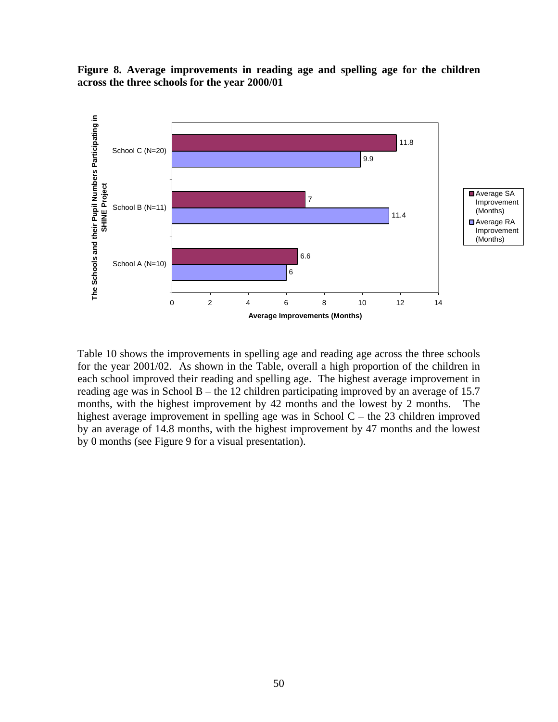**Figure 8. Average improvements in reading age and spelling age for the children across the three schools for the year 2000/01**



Table 10 shows the improvements in spelling age and reading age across the three schools for the year 2001/02. As shown in the Table, overall a high proportion of the children in each school improved their reading and spelling age. The highest average improvement in reading age was in School B – the 12 children participating improved by an average of 15.7 months, with the highest improvement by 42 months and the lowest by 2 months. The highest average improvement in spelling age was in School C – the 23 children improved by an average of 14.8 months, with the highest improvement by 47 months and the lowest by 0 months (see Figure 9 for a visual presentation).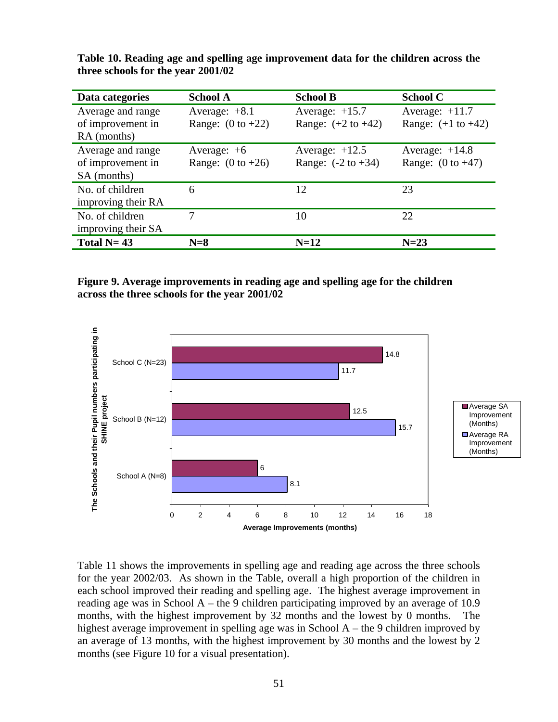| Data categories                                       | <b>School A</b>                                 | <b>School B</b>                                   | <b>School C</b>                                   |
|-------------------------------------------------------|-------------------------------------------------|---------------------------------------------------|---------------------------------------------------|
| Average and range<br>of improvement in<br>RA (months) | Average: $+8.1$<br>Range: $(0 \text{ to } +22)$ | Average: $+15.7$<br>Range: $(+2 \text{ to } +42)$ | Average: $+11.7$<br>Range: $(+1 \text{ to } +42)$ |
| Average and range<br>of improvement in<br>SA (months) | Average: $+6$<br>Range: $(0 \text{ to } +26)$   | Average: $+12.5$<br>Range: $(-2 \text{ to } +34)$ | Average: $+14.8$<br>Range: $(0 \text{ to } +47)$  |
| No. of children<br>improving their RA                 | 6                                               | 12                                                | 23                                                |
| No. of children<br>improving their SA                 | 7                                               | 10                                                | 22                                                |
| Total $N=43$                                          | $N=8$                                           | $N=12$                                            | $N=23$                                            |

**Table 10. Reading age and spelling age improvement data for the children across the three schools for the year 2001/02** 

**Figure 9. Average improvements in reading age and spelling age for the children across the three schools for the year 2001/02**



Table 11 shows the improvements in spelling age and reading age across the three schools for the year 2002/03. As shown in the Table, overall a high proportion of the children in each school improved their reading and spelling age. The highest average improvement in reading age was in School  $A$  – the 9 children participating improved by an average of 10.9 months, with the highest improvement by 32 months and the lowest by 0 months. The highest average improvement in spelling age was in School A – the 9 children improved by an average of 13 months, with the highest improvement by 30 months and the lowest by 2 months (see Figure 10 for a visual presentation).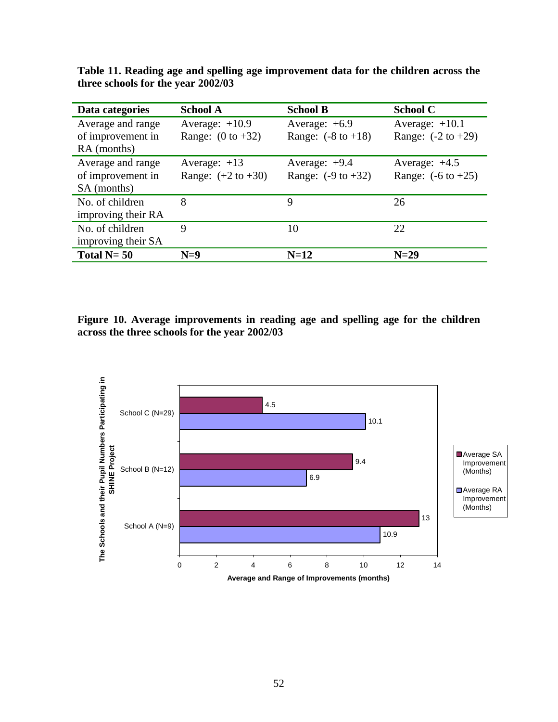| Data categories    | <b>School A</b>               | <b>School B</b>               | <b>School C</b>               |
|--------------------|-------------------------------|-------------------------------|-------------------------------|
| Average and range  | Average: $+10.9$              | Average: $+6.9$               | Average: $+10.1$              |
| of improvement in  | Range: $(0 \text{ to } +32)$  | Range: $(-8 \text{ to } +18)$ | Range: $(-2 \text{ to } +29)$ |
| RA (months)        |                               |                               |                               |
| Average and range  | Average: $+13$                | Average: $+9.4$               | Average: $+4.5$               |
| of improvement in  | Range: $(+2 \text{ to } +30)$ | Range: $(-9 \text{ to } +32)$ | Range: $(-6 \text{ to } +25)$ |
| SA (months)        |                               |                               |                               |
| No. of children    | 8                             | 9                             | 26                            |
| improving their RA |                               |                               |                               |
| No. of children    | 9                             | 10                            | 22                            |
| improving their SA |                               |                               |                               |
| Total $N = 50$     | $N=9$                         | $N=12$                        | $N=29$                        |

**Table 11. Reading age and spelling age improvement data for the children across the three schools for the year 2002/03** 

**Figure 10. Average improvements in reading age and spelling age for the children across the three schools for the year 2002/03** 

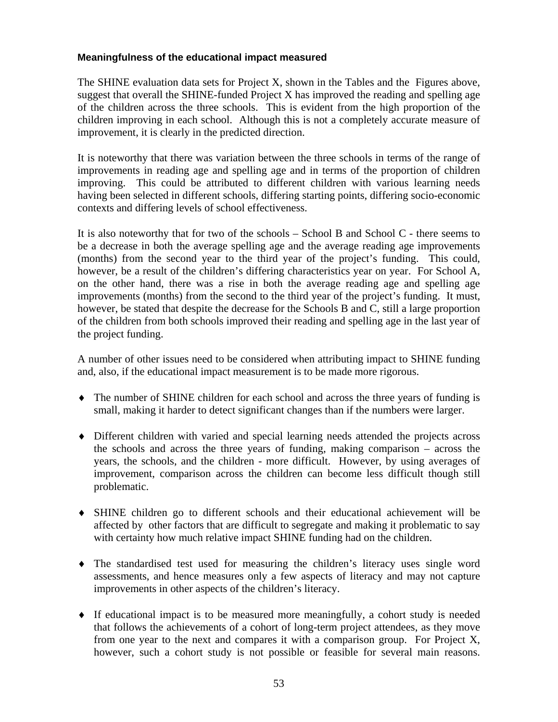#### **Meaningfulness of the educational impact measured**

The SHINE evaluation data sets for Project X, shown in the Tables and the Figures above, suggest that overall the SHINE-funded Project X has improved the reading and spelling age of the children across the three schools. This is evident from the high proportion of the children improving in each school. Although this is not a completely accurate measure of improvement, it is clearly in the predicted direction.

It is noteworthy that there was variation between the three schools in terms of the range of improvements in reading age and spelling age and in terms of the proportion of children improving. This could be attributed to different children with various learning needs having been selected in different schools, differing starting points, differing socio-economic contexts and differing levels of school effectiveness.

It is also noteworthy that for two of the schools – School B and School C - there seems to be a decrease in both the average spelling age and the average reading age improvements (months) from the second year to the third year of the project's funding. This could, however, be a result of the children's differing characteristics year on year. For School A, on the other hand, there was a rise in both the average reading age and spelling age improvements (months) from the second to the third year of the project's funding. It must, however, be stated that despite the decrease for the Schools B and C, still a large proportion of the children from both schools improved their reading and spelling age in the last year of the project funding.

A number of other issues need to be considered when attributing impact to SHINE funding and, also, if the educational impact measurement is to be made more rigorous.

- ♦ The number of SHINE children for each school and across the three years of funding is small, making it harder to detect significant changes than if the numbers were larger.
- ♦ Different children with varied and special learning needs attended the projects across the schools and across the three years of funding, making comparison – across the years, the schools, and the children - more difficult. However, by using averages of improvement, comparison across the children can become less difficult though still problematic.
- ♦ SHINE children go to different schools and their educational achievement will be affected by other factors that are difficult to segregate and making it problematic to say with certainty how much relative impact SHINE funding had on the children.
- ♦ The standardised test used for measuring the children's literacy uses single word assessments, and hence measures only a few aspects of literacy and may not capture improvements in other aspects of the children's literacy.
- ♦ If educational impact is to be measured more meaningfully, a cohort study is needed that follows the achievements of a cohort of long-term project attendees, as they move from one year to the next and compares it with a comparison group. For Project X, however, such a cohort study is not possible or feasible for several main reasons.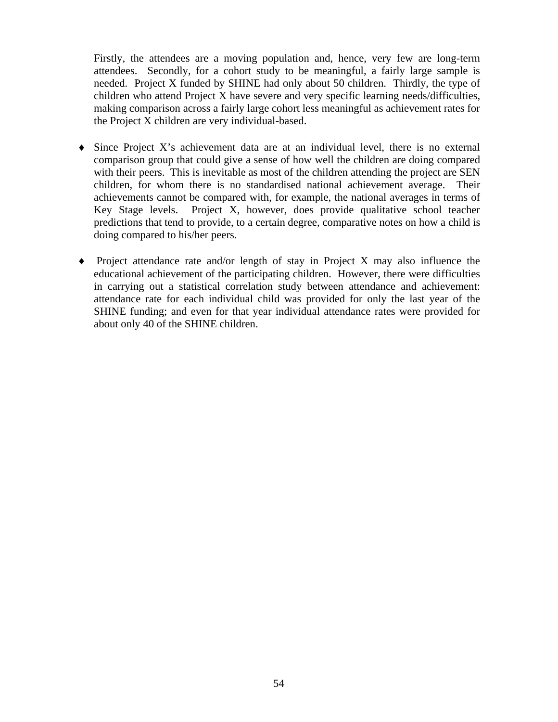Firstly, the attendees are a moving population and, hence, very few are long-term attendees. Secondly, for a cohort study to be meaningful, a fairly large sample is needed. Project X funded by SHINE had only about 50 children. Thirdly, the type of children who attend Project X have severe and very specific learning needs/difficulties, making comparison across a fairly large cohort less meaningful as achievement rates for the Project X children are very individual-based.

- $\bullet$  Since Project X's achievement data are at an individual level, there is no external comparison group that could give a sense of how well the children are doing compared with their peers. This is inevitable as most of the children attending the project are SEN children, for whom there is no standardised national achievement average. Their achievements cannot be compared with, for example, the national averages in terms of Key Stage levels. Project X, however, does provide qualitative school teacher predictions that tend to provide, to a certain degree, comparative notes on how a child is doing compared to his/her peers.
- Project attendance rate and/or length of stay in Project  $X$  may also influence the educational achievement of the participating children. However, there were difficulties in carrying out a statistical correlation study between attendance and achievement: attendance rate for each individual child was provided for only the last year of the SHINE funding; and even for that year individual attendance rates were provided for about only 40 of the SHINE children.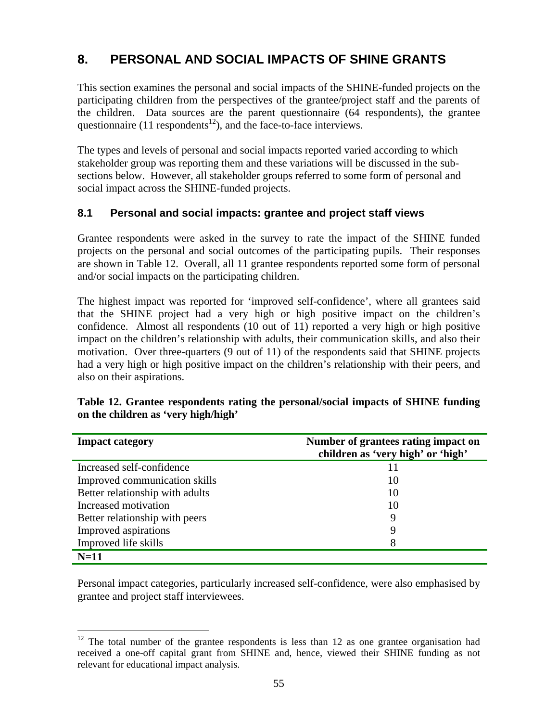# **8. PERSONAL AND SOCIAL IMPACTS OF SHINE GRANTS**

This section examines the personal and social impacts of the SHINE-funded projects on the participating children from the perspectives of the grantee/project staff and the parents of the children. Data sources are the parent questionnaire (64 respondents), the grantee questionnaire (11 respondents<sup>12</sup>), and the face-to-face interviews.

The types and levels of personal and social impacts reported varied according to which stakeholder group was reporting them and these variations will be discussed in the subsections below. However, all stakeholder groups referred to some form of personal and social impact across the SHINE-funded projects.

#### **8.1 Personal and social impacts: grantee and project staff views**

Grantee respondents were asked in the survey to rate the impact of the SHINE funded projects on the personal and social outcomes of the participating pupils. Their responses are shown in Table 12. Overall, all 11 grantee respondents reported some form of personal and/or social impacts on the participating children.

The highest impact was reported for 'improved self-confidence', where all grantees said that the SHINE project had a very high or high positive impact on the children's confidence. Almost all respondents (10 out of 11) reported a very high or high positive impact on the children's relationship with adults, their communication skills, and also their motivation. Over three-quarters (9 out of 11) of the respondents said that SHINE projects had a very high or high positive impact on the children's relationship with their peers, and also on their aspirations.

| <b>Impact category</b>          | Number of grantees rating impact on |  |
|---------------------------------|-------------------------------------|--|
|                                 | children as 'very high' or 'high'   |  |
| Increased self-confidence       | 11                                  |  |
| Improved communication skills   | 10                                  |  |
| Better relationship with adults | 10                                  |  |
| Increased motivation            | 10                                  |  |
| Better relationship with peers  | 9                                   |  |
| Improved aspirations            | 9                                   |  |
| Improved life skills            | 8                                   |  |

### **Table 12. Grantee respondents rating the personal/social impacts of SHINE funding on the children as 'very high/high'**

Personal impact categories, particularly increased self-confidence, were also emphasised by grantee and project staff interviewees.

**N=11**

<sup>1</sup>  $12$  The total number of the grantee respondents is less than 12 as one grantee organisation had received a one-off capital grant from SHINE and, hence, viewed their SHINE funding as not relevant for educational impact analysis.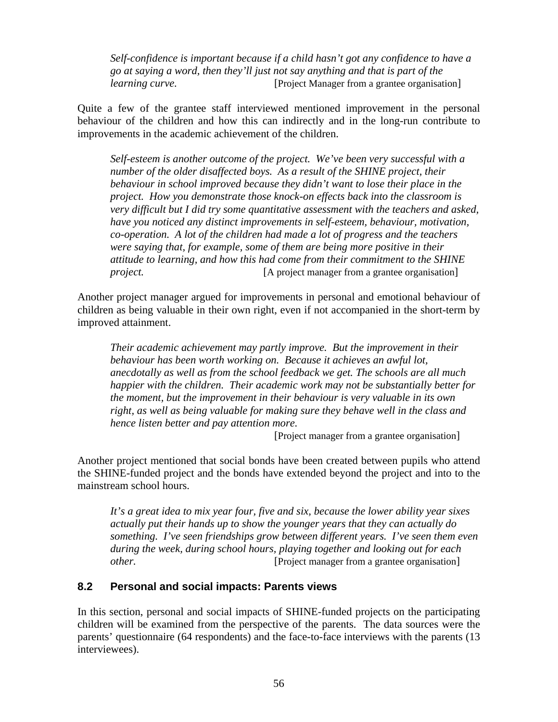*Self-confidence is important because if a child hasn't got any confidence to have a go at saying a word, then they'll just not say anything and that is part of the learning curve. IProject Manager from a grantee organisation* 

Quite a few of the grantee staff interviewed mentioned improvement in the personal behaviour of the children and how this can indirectly and in the long-run contribute to improvements in the academic achievement of the children.

*Self-esteem is another outcome of the project. We've been very successful with a number of the older disaffected boys. As a result of the SHINE project, their behaviour in school improved because they didn't want to lose their place in the project. How you demonstrate those knock-on effects back into the classroom is very difficult but I did try some quantitative assessment with the teachers and asked, have you noticed any distinct improvements in self-esteem, behaviour, motivation, co-operation. A lot of the children had made a lot of progress and the teachers were saying that, for example, some of them are being more positive in their attitude to learning, and how this had come from their commitment to the SHINE project.* [A project manager from a grantee organisation]

Another project manager argued for improvements in personal and emotional behaviour of children as being valuable in their own right, even if not accompanied in the short-term by improved attainment.

*Their academic achievement may partly improve. But the improvement in their behaviour has been worth working on. Because it achieves an awful lot, anecdotally as well as from the school feedback we get. The schools are all much happier with the children. Their academic work may not be substantially better for the moment, but the improvement in their behaviour is very valuable in its own right, as well as being valuable for making sure they behave well in the class and hence listen better and pay attention more.*

[Project manager from a grantee organisation]

Another project mentioned that social bonds have been created between pupils who attend the SHINE-funded project and the bonds have extended beyond the project and into to the mainstream school hours.

*It's a great idea to mix year four, five and six, because the lower ability year sixes actually put their hands up to show the younger years that they can actually do something. I've seen friendships grow between different years. I've seen them even during the week, during school hours, playing together and looking out for each other.* [Project manager from a grantee organisation]

#### **8.2 Personal and social impacts: Parents views**

In this section, personal and social impacts of SHINE-funded projects on the participating children will be examined from the perspective of the parents. The data sources were the parents' questionnaire (64 respondents) and the face-to-face interviews with the parents (13 interviewees).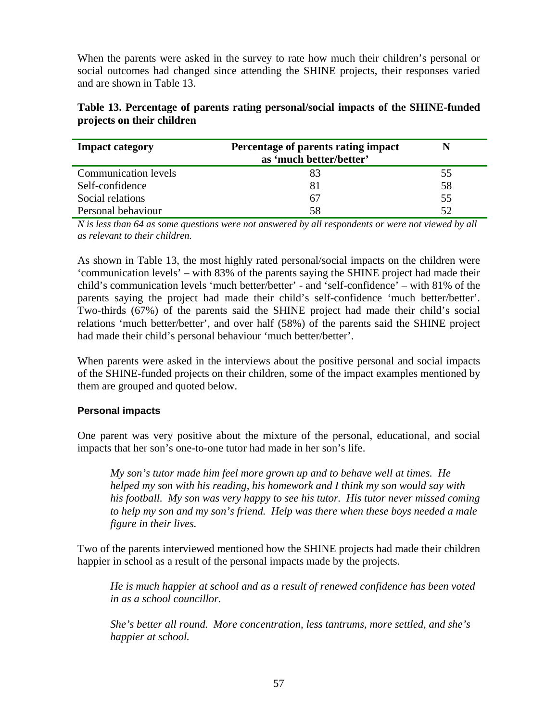When the parents were asked in the survey to rate how much their children's personal or social outcomes had changed since attending the SHINE projects, their responses varied and are shown in Table 13.

| <b>Impact category</b>      | Percentage of parents rating impact<br>as 'much better/better' | N  |
|-----------------------------|----------------------------------------------------------------|----|
| <b>Communication levels</b> |                                                                | 55 |
| Self-confidence             |                                                                | 58 |
| Social relations            | 67                                                             | 55 |
| Personal behaviour          | 58                                                             | 52 |

### **Table 13. Percentage of parents rating personal/social impacts of the SHINE-funded projects on their children**

*N is less than 64 as some questions were not answered by all respondents or were not viewed by all as relevant to their children.* 

As shown in Table 13, the most highly rated personal/social impacts on the children were 'communication levels' – with 83% of the parents saying the SHINE project had made their child's communication levels 'much better/better' - and 'self-confidence' – with 81% of the parents saying the project had made their child's self-confidence 'much better/better'. Two-thirds (67%) of the parents said the SHINE project had made their child's social relations 'much better/better', and over half (58%) of the parents said the SHINE project had made their child's personal behaviour 'much better/better'.

When parents were asked in the interviews about the positive personal and social impacts of the SHINE-funded projects on their children, some of the impact examples mentioned by them are grouped and quoted below.

#### **Personal impacts**

One parent was very positive about the mixture of the personal, educational, and social impacts that her son's one-to-one tutor had made in her son's life.

*My son's tutor made him feel more grown up and to behave well at times. He helped my son with his reading, his homework and I think my son would say with his football. My son was very happy to see his tutor. His tutor never missed coming to help my son and my son's friend. Help was there when these boys needed a male figure in their lives.* 

Two of the parents interviewed mentioned how the SHINE projects had made their children happier in school as a result of the personal impacts made by the projects.

*He is much happier at school and as a result of renewed confidence has been voted in as a school councillor.* 

*She's better all round. More concentration, less tantrums, more settled, and she's happier at school.*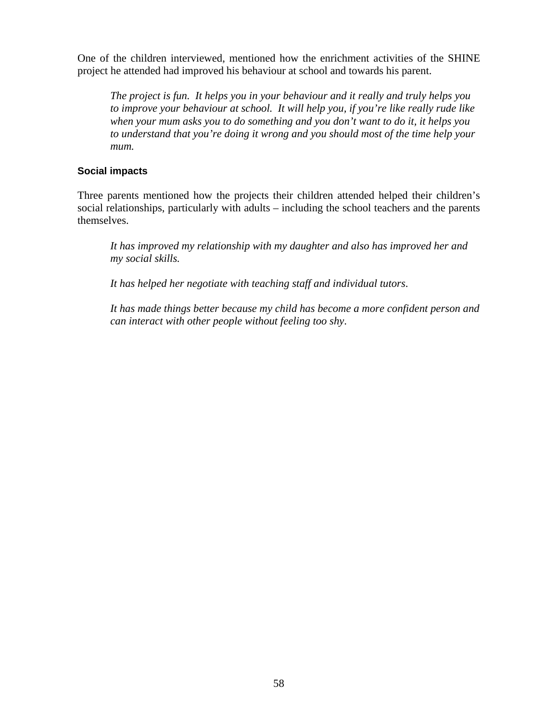One of the children interviewed, mentioned how the enrichment activities of the SHINE project he attended had improved his behaviour at school and towards his parent.

*The project is fun. It helps you in your behaviour and it really and truly helps you to improve your behaviour at school. It will help you, if you're like really rude like when your mum asks you to do something and you don't want to do it, it helps you to understand that you're doing it wrong and you should most of the time help your mum.* 

#### **Social impacts**

Three parents mentioned how the projects their children attended helped their children's social relationships, particularly with adults – including the school teachers and the parents themselves.

*It has improved my relationship with my daughter and also has improved her and my social skills.*

*It has helped her negotiate with teaching staff and individual tutors*.

*It has made things better because my child has become a more confident person and can interact with other people without feeling too shy*.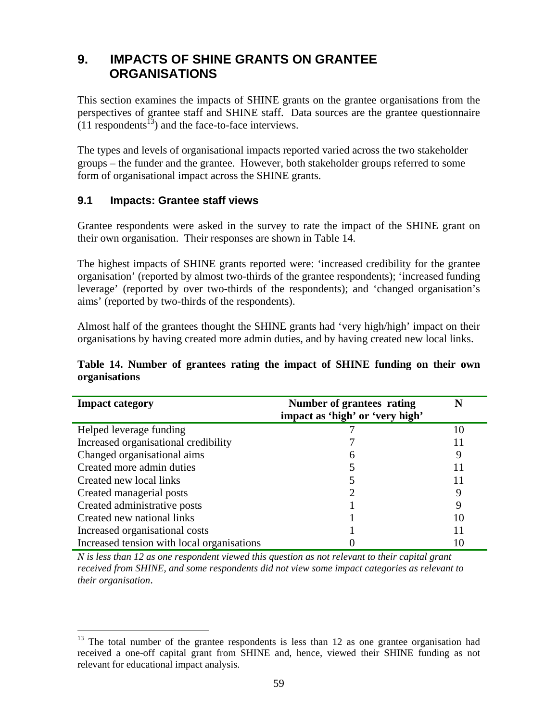# **9. IMPACTS OF SHINE GRANTS ON GRANTEE ORGANISATIONS**

This section examines the impacts of SHINE grants on the grantee organisations from the perspectives of grantee staff and SHINE staff. Data sources are the grantee questionnaire  $(11$  respondents<sup>13</sup>) and the face-to-face interviews.

The types and levels of organisational impacts reported varied across the two stakeholder groups – the funder and the grantee. However, both stakeholder groups referred to some form of organisational impact across the SHINE grants.

#### **9.1 Impacts: Grantee staff views**

Grantee respondents were asked in the survey to rate the impact of the SHINE grant on their own organisation. Their responses are shown in Table 14.

The highest impacts of SHINE grants reported were: 'increased credibility for the grantee organisation' (reported by almost two-thirds of the grantee respondents); 'increased funding leverage' (reported by over two-thirds of the respondents); and 'changed organisation's aims' (reported by two-thirds of the respondents).

Almost half of the grantees thought the SHINE grants had 'very high/high' impact on their organisations by having created more admin duties, and by having created new local links.

#### **Table 14. Number of grantees rating the impact of SHINE funding on their own organisations**

| <b>Impact category</b>                     | Number of grantees rating<br>impact as 'high' or 'very high' | N  |
|--------------------------------------------|--------------------------------------------------------------|----|
| Helped leverage funding                    |                                                              | 10 |
| Increased organisational credibility       |                                                              |    |
| Changed organisational aims                | 6                                                            |    |
| Created more admin duties                  |                                                              |    |
| Created new local links                    |                                                              |    |
| Created managerial posts                   |                                                              |    |
| Created administrative posts               |                                                              | 9  |
| Created new national links                 |                                                              | 10 |
| Increased organisational costs             |                                                              |    |
| Increased tension with local organisations |                                                              | 10 |

*N is less than 12 as one respondent viewed this question as not relevant to their capital grant received from SHINE, and some respondents did not view some impact categories as relevant to their organisation*.

<sup>1</sup>  $13$  The total number of the grantee respondents is less than 12 as one grantee organisation had received a one-off capital grant from SHINE and, hence, viewed their SHINE funding as not relevant for educational impact analysis.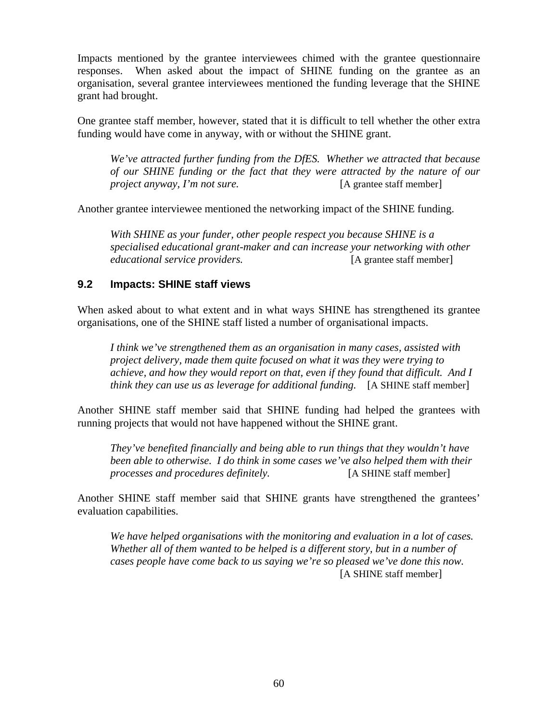Impacts mentioned by the grantee interviewees chimed with the grantee questionnaire responses. When asked about the impact of SHINE funding on the grantee as an organisation, several grantee interviewees mentioned the funding leverage that the SHINE grant had brought.

One grantee staff member, however, stated that it is difficult to tell whether the other extra funding would have come in anyway, with or without the SHINE grant.

*We've attracted further funding from the DfES. Whether we attracted that because of our SHINE funding or the fact that they were attracted by the nature of our project anyway, I'm not sure.* [A grantee staff member]

Another grantee interviewee mentioned the networking impact of the SHINE funding.

*With SHINE as your funder, other people respect you because SHINE is a specialised educational grant-maker and can increase your networking with other educational service providers.* [A grantee staff member]

#### **9.2 Impacts: SHINE staff views**

When asked about to what extent and in what ways SHINE has strengthened its grantee organisations, one of the SHINE staff listed a number of organisational impacts.

*I think we've strengthened them as an organisation in many cases, assisted with project delivery, made them quite focused on what it was they were trying to achieve, and how they would report on that, even if they found that difficult. And I think they can use us as leverage for additional funding.* [A SHINE staff member]

Another SHINE staff member said that SHINE funding had helped the grantees with running projects that would not have happened without the SHINE grant.

*They've benefited financially and being able to run things that they wouldn't have been able to otherwise. I do think in some cases we've also helped them with their processes and procedures definitely.* [A SHINE staff member]

Another SHINE staff member said that SHINE grants have strengthened the grantees' evaluation capabilities.

*We have helped organisations with the monitoring and evaluation in a lot of cases. Whether all of them wanted to be helped is a different story, but in a number of cases people have come back to us saying we're so pleased we've done this now.*  [A SHINE staff member]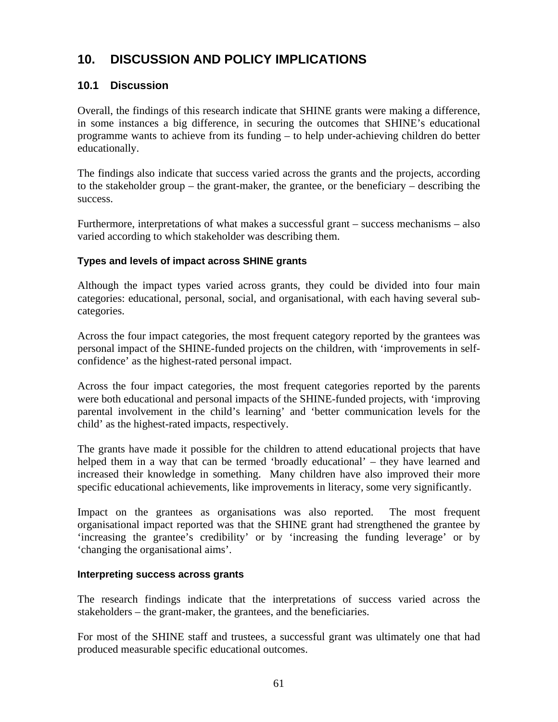# **10. DISCUSSION AND POLICY IMPLICATIONS**

# **10.1 Discussion**

Overall, the findings of this research indicate that SHINE grants were making a difference, in some instances a big difference, in securing the outcomes that SHINE's educational programme wants to achieve from its funding – to help under-achieving children do better educationally.

The findings also indicate that success varied across the grants and the projects, according to the stakeholder group – the grant-maker, the grantee, or the beneficiary – describing the success.

Furthermore, interpretations of what makes a successful grant – success mechanisms – also varied according to which stakeholder was describing them.

#### **Types and levels of impact across SHINE grants**

Although the impact types varied across grants, they could be divided into four main categories: educational, personal, social, and organisational, with each having several subcategories.

Across the four impact categories, the most frequent category reported by the grantees was personal impact of the SHINE-funded projects on the children, with 'improvements in selfconfidence' as the highest-rated personal impact.

Across the four impact categories, the most frequent categories reported by the parents were both educational and personal impacts of the SHINE-funded projects, with 'improving parental involvement in the child's learning' and 'better communication levels for the child' as the highest-rated impacts, respectively.

The grants have made it possible for the children to attend educational projects that have helped them in a way that can be termed 'broadly educational' – they have learned and increased their knowledge in something. Many children have also improved their more specific educational achievements, like improvements in literacy, some very significantly.

Impact on the grantees as organisations was also reported. The most frequent organisational impact reported was that the SHINE grant had strengthened the grantee by 'increasing the grantee's credibility' or by 'increasing the funding leverage' or by 'changing the organisational aims'.

#### **Interpreting success across grants**

The research findings indicate that the interpretations of success varied across the stakeholders – the grant-maker, the grantees, and the beneficiaries.

For most of the SHINE staff and trustees, a successful grant was ultimately one that had produced measurable specific educational outcomes.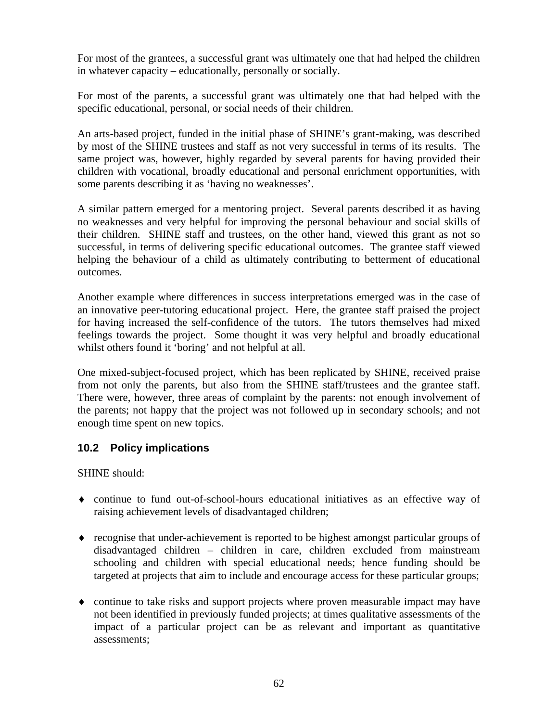For most of the grantees, a successful grant was ultimately one that had helped the children in whatever capacity – educationally, personally or socially.

For most of the parents, a successful grant was ultimately one that had helped with the specific educational, personal, or social needs of their children.

An arts-based project, funded in the initial phase of SHINE's grant-making, was described by most of the SHINE trustees and staff as not very successful in terms of its results. The same project was, however, highly regarded by several parents for having provided their children with vocational, broadly educational and personal enrichment opportunities, with some parents describing it as 'having no weaknesses'.

A similar pattern emerged for a mentoring project. Several parents described it as having no weaknesses and very helpful for improving the personal behaviour and social skills of their children. SHINE staff and trustees, on the other hand, viewed this grant as not so successful, in terms of delivering specific educational outcomes. The grantee staff viewed helping the behaviour of a child as ultimately contributing to betterment of educational outcomes.

Another example where differences in success interpretations emerged was in the case of an innovative peer-tutoring educational project. Here, the grantee staff praised the project for having increased the self-confidence of the tutors. The tutors themselves had mixed feelings towards the project. Some thought it was very helpful and broadly educational whilst others found it 'boring' and not helpful at all.

One mixed-subject-focused project, which has been replicated by SHINE, received praise from not only the parents, but also from the SHINE staff/trustees and the grantee staff. There were, however, three areas of complaint by the parents: not enough involvement of the parents; not happy that the project was not followed up in secondary schools; and not enough time spent on new topics.

# **10.2 Policy implications**

SHINE should:

- ♦ continue to fund out-of-school-hours educational initiatives as an effective way of raising achievement levels of disadvantaged children;
- ♦ recognise that under-achievement is reported to be highest amongst particular groups of disadvantaged children – children in care, children excluded from mainstream schooling and children with special educational needs; hence funding should be targeted at projects that aim to include and encourage access for these particular groups;
- ♦ continue to take risks and support projects where proven measurable impact may have not been identified in previously funded projects; at times qualitative assessments of the impact of a particular project can be as relevant and important as quantitative assessments;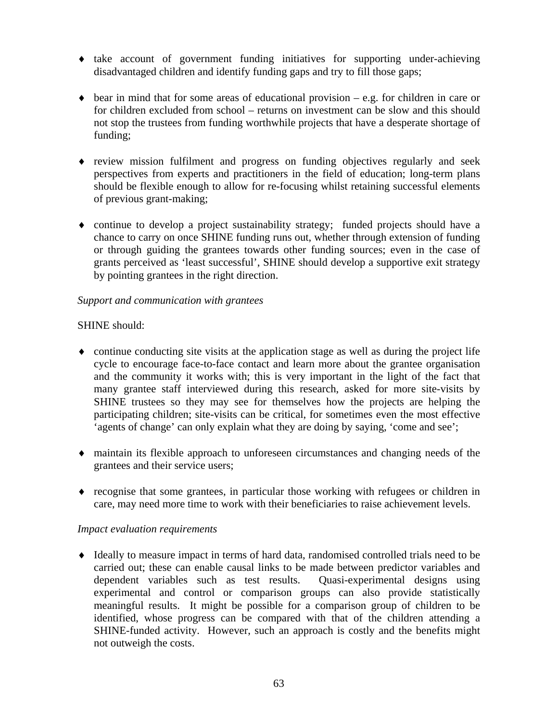- ♦ take account of government funding initiatives for supporting under-achieving disadvantaged children and identify funding gaps and try to fill those gaps;
- $\bullet$  bear in mind that for some areas of educational provision e.g. for children in care or for children excluded from school – returns on investment can be slow and this should not stop the trustees from funding worthwhile projects that have a desperate shortage of funding;
- ♦ review mission fulfilment and progress on funding objectives regularly and seek perspectives from experts and practitioners in the field of education; long-term plans should be flexible enough to allow for re-focusing whilst retaining successful elements of previous grant-making;
- ♦ continue to develop a project sustainability strategy; funded projects should have a chance to carry on once SHINE funding runs out, whether through extension of funding or through guiding the grantees towards other funding sources; even in the case of grants perceived as 'least successful', SHINE should develop a supportive exit strategy by pointing grantees in the right direction.

#### *Support and communication with grantees*

#### SHINE should:

- $\bullet$  continue conducting site visits at the application stage as well as during the project life cycle to encourage face-to-face contact and learn more about the grantee organisation and the community it works with; this is very important in the light of the fact that many grantee staff interviewed during this research, asked for more site-visits by SHINE trustees so they may see for themselves how the projects are helping the participating children; site-visits can be critical, for sometimes even the most effective 'agents of change' can only explain what they are doing by saying, 'come and see';
- ♦ maintain its flexible approach to unforeseen circumstances and changing needs of the grantees and their service users;
- ♦ recognise that some grantees, in particular those working with refugees or children in care, may need more time to work with their beneficiaries to raise achievement levels.

#### *Impact evaluation requirements*

♦ Ideally to measure impact in terms of hard data, randomised controlled trials need to be carried out; these can enable causal links to be made between predictor variables and dependent variables such as test results. Quasi-experimental designs using experimental and control or comparison groups can also provide statistically meaningful results. It might be possible for a comparison group of children to be identified, whose progress can be compared with that of the children attending a SHINE-funded activity. However, such an approach is costly and the benefits might not outweigh the costs.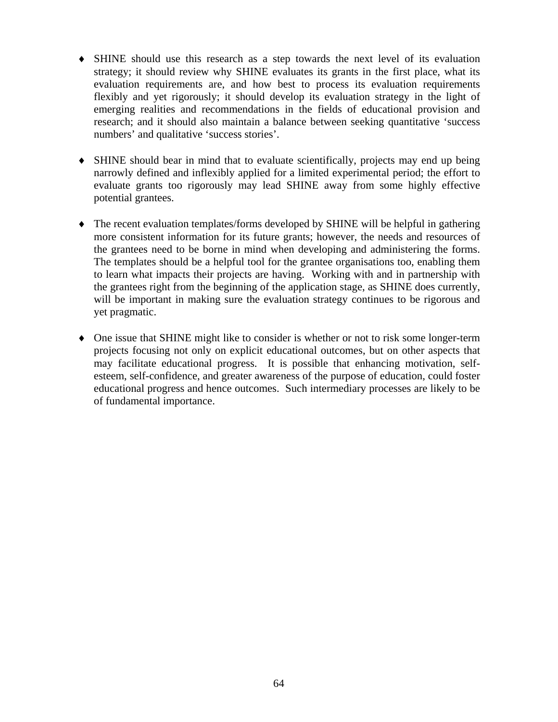- ♦ SHINE should use this research as a step towards the next level of its evaluation strategy; it should review why SHINE evaluates its grants in the first place, what its evaluation requirements are, and how best to process its evaluation requirements flexibly and yet rigorously; it should develop its evaluation strategy in the light of emerging realities and recommendations in the fields of educational provision and research; and it should also maintain a balance between seeking quantitative 'success numbers' and qualitative 'success stories'.
- SHINE should bear in mind that to evaluate scientifically, projects may end up being narrowly defined and inflexibly applied for a limited experimental period; the effort to evaluate grants too rigorously may lead SHINE away from some highly effective potential grantees.
- ♦ The recent evaluation templates/forms developed by SHINE will be helpful in gathering more consistent information for its future grants; however, the needs and resources of the grantees need to be borne in mind when developing and administering the forms. The templates should be a helpful tool for the grantee organisations too, enabling them to learn what impacts their projects are having. Working with and in partnership with the grantees right from the beginning of the application stage, as SHINE does currently, will be important in making sure the evaluation strategy continues to be rigorous and yet pragmatic.
- ♦ One issue that SHINE might like to consider is whether or not to risk some longer-term projects focusing not only on explicit educational outcomes, but on other aspects that may facilitate educational progress. It is possible that enhancing motivation, selfesteem, self-confidence, and greater awareness of the purpose of education, could foster educational progress and hence outcomes. Such intermediary processes are likely to be of fundamental importance.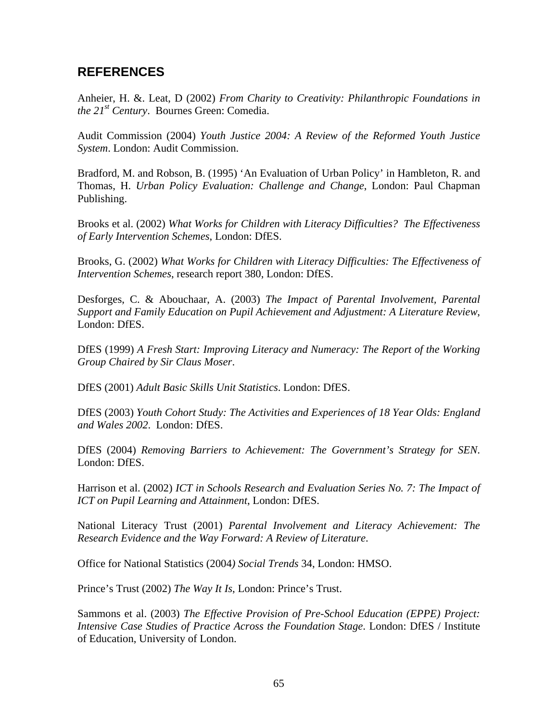# **REFERENCES**

Anheier, H. &. Leat, D (2002) *From Charity to Creativity: Philanthropic Foundations in the 21st Century*. Bournes Green: Comedia.

Audit Commission (2004) *Youth Justice 2004: A Review of the Reformed Youth Justice System*. London: Audit Commission.

Bradford, M. and Robson, B. (1995) 'An Evaluation of Urban Policy' in Hambleton, R. and Thomas, H. *Urban Policy Evaluation: Challenge and Change*, London: Paul Chapman Publishing.

Brooks et al. (2002) *What Works for Children with Literacy Difficulties? The Effectiveness of Early Intervention Schemes*, London: DfES.

Brooks, G. (2002) *What Works for Children with Literacy Difficulties: The Effectiveness of Intervention Schemes*, research report 380, London: DfES.

Desforges, C. & Abouchaar, A. (2003) *The Impact of Parental Involvement, Parental Support and Family Education on Pupil Achievement and Adjustment: A Literature Review*, London: DfES.

DfES (1999) *A Fresh Start: Improving Literacy and Numeracy: The Report of the Working Group Chaired by Sir Claus Moser*.

DfES (2001) *Adult Basic Skills Unit Statistics*. London: DfES.

DfES (2003) *Youth Cohort Study: The Activities and Experiences of 18 Year Olds: England and Wales 2002*. London: DfES.

DfES (2004) *Removing Barriers to Achievement: The Government's Strategy for SEN*. London: DfES.

Harrison et al. (2002) *ICT in Schools Research and Evaluation Series No. 7: The Impact of ICT on Pupil Learning and Attainment*, London: DfES.

National Literacy Trust (2001) *Parental Involvement and Literacy Achievement: The Research Evidence and the Way Forward: A Review of Literature*.

Office for National Statistics (2004*) Social Trends* 34, London: HMSO.

Prince's Trust (2002) *The Way It Is*, London: Prince's Trust.

Sammons et al. (2003) *The Effective Provision of Pre-School Education (EPPE) Project: Intensive Case Studies of Practice Across the Foundation Stage*. London: DfES / Institute of Education, University of London.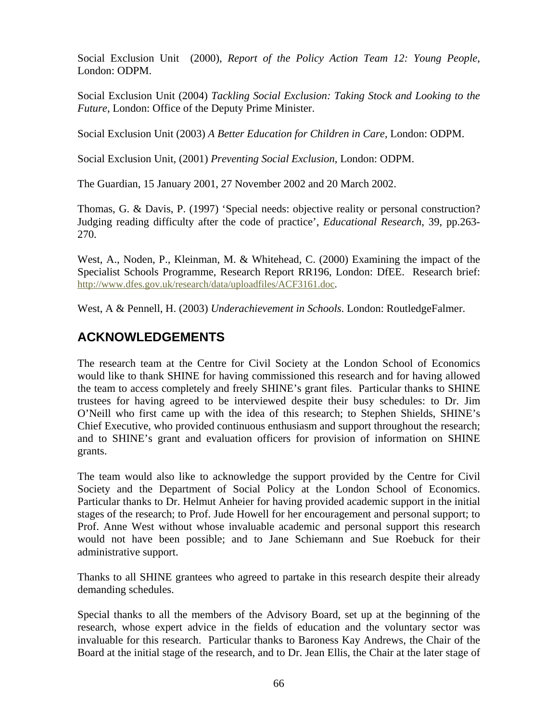Social Exclusion Unit (2000), *Report of the Policy Action Team 12: Young People*, London: ODPM.

Social Exclusion Unit (2004) *Tackling Social Exclusion: Taking Stock and Looking to the Future*, London: Office of the Deputy Prime Minister.

Social Exclusion Unit (2003) *A Better Education for Children in Care*, London: ODPM.

Social Exclusion Unit, (2001) *Preventing Social Exclusion*, London: ODPM.

The Guardian, 15 January 2001, 27 November 2002 and 20 March 2002.

Thomas, G. & Davis, P. (1997) 'Special needs: objective reality or personal construction? Judging reading difficulty after the code of practice', *Educational Research*, 39, pp.263- 270.

West, A., Noden, P., Kleinman, M. & Whitehead, C. (2000) Examining the impact of the Specialist Schools Programme, Research Report RR196, London: DfEE. Research brief: http://www.dfes.gov.uk/research/data/uploadfiles/ACF3161.doc.

West, A & Pennell, H. (2003) *Underachievement in Schools*. London: RoutledgeFalmer.

# **ACKNOWLEDGEMENTS**

The research team at the Centre for Civil Society at the London School of Economics would like to thank SHINE for having commissioned this research and for having allowed the team to access completely and freely SHINE's grant files. Particular thanks to SHINE trustees for having agreed to be interviewed despite their busy schedules: to Dr. Jim O'Neill who first came up with the idea of this research; to Stephen Shields, SHINE's Chief Executive, who provided continuous enthusiasm and support throughout the research; and to SHINE's grant and evaluation officers for provision of information on SHINE grants.

The team would also like to acknowledge the support provided by the Centre for Civil Society and the Department of Social Policy at the London School of Economics. Particular thanks to Dr. Helmut Anheier for having provided academic support in the initial stages of the research; to Prof. Jude Howell for her encouragement and personal support; to Prof. Anne West without whose invaluable academic and personal support this research would not have been possible; and to Jane Schiemann and Sue Roebuck for their administrative support.

Thanks to all SHINE grantees who agreed to partake in this research despite their already demanding schedules.

Special thanks to all the members of the Advisory Board, set up at the beginning of the research, whose expert advice in the fields of education and the voluntary sector was invaluable for this research. Particular thanks to Baroness Kay Andrews, the Chair of the Board at the initial stage of the research, and to Dr. Jean Ellis, the Chair at the later stage of